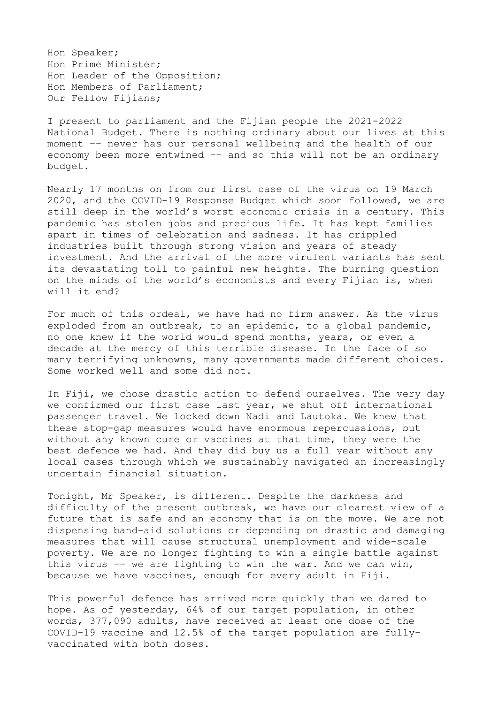Hon Speaker; Hon Prime Minister; Hon Leader of the Opposition; Hon Members of Parliament; Our Fellow Fijians;

I present to parliament and the Fijian people the 2021-2022 National Budget. There is nothing ordinary about our lives at this moment –– never has our personal wellbeing and the health of our economy been more entwined –– and so this will not be an ordinary budget.

Nearly 17 months on from our first case of the virus on 19 March 2020, and the COVID-19 Response Budget which soon followed, we are still deep in the world's worst economic crisis in a century. This pandemic has stolen jobs and precious life. It has kept families apart in times of celebration and sadness. It has crippled industries built through strong vision and years of steady investment. And the arrival of the more virulent variants has sent its devastating toll to painful new heights. The burning question on the minds of the world's economists and every Fijian is, when will it end?

For much of this ordeal, we have had no firm answer. As the virus exploded from an outbreak, to an epidemic, to a global pandemic, no one knew if the world would spend months, years, or even a decade at the mercy of this terrible disease. In the face of so many terrifying unknowns, many governments made different choices. Some worked well and some did not.

In Fiji, we chose drastic action to defend ourselves. The very day we confirmed our first case last year, we shut off international passenger travel. We locked down Nadi and Lautoka. We knew that these stop-gap measures would have enormous repercussions, but without any known cure or vaccines at that time, they were the best defence we had. And they did buy us a full year without any local cases through which we sustainably navigated an increasingly uncertain financial situation.

Tonight, Mr Speaker, is different. Despite the darkness and difficulty of the present outbreak, we have our clearest view of a future that is safe and an economy that is on the move. We are not dispensing band-aid solutions or depending on drastic and damaging measures that will cause structural unemployment and wide-scale poverty. We are no longer fighting to win a single battle against this virus –– we are fighting to win the war. And we can win, because we have vaccines, enough for every adult in Fiji.

This powerful defence has arrived more quickly than we dared to hope. As of yesterday, 64% of our target population, in other words, 377,090 adults, have received at least one dose of the COVID-19 vaccine and 12.5% of the target population are fullyvaccinated with both doses.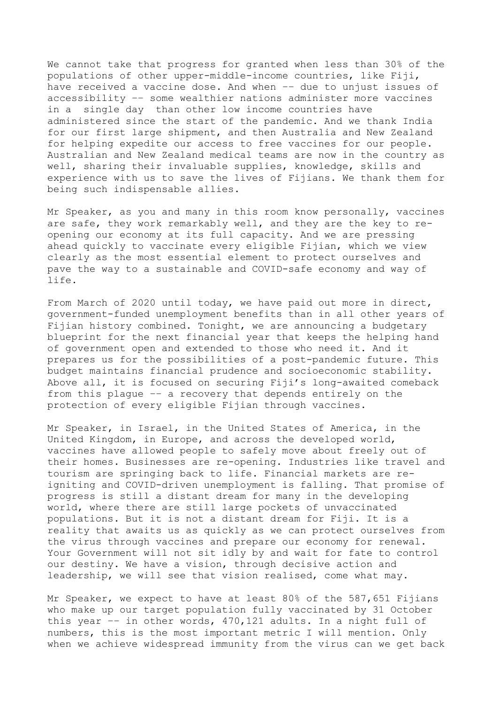We cannot take that progress for granted when less than 30% of the populations of other upper-middle-income countries, like Fiji, have received a vaccine dose. And when –– due to unjust issues of accessibility –– some wealthier nations administer more vaccines in a single day than other low income countries have administered since the start of the pandemic. And we thank India for our first large shipment, and then Australia and New Zealand for helping expedite our access to free vaccines for our people. Australian and New Zealand medical teams are now in the country as well, sharing their invaluable supplies, knowledge, skills and experience with us to save the lives of Fijians. We thank them for being such indispensable allies.

Mr Speaker, as you and many in this room know personally, vaccines are safe, they work remarkably well, and they are the key to reopening our economy at its full capacity. And we are pressing ahead quickly to vaccinate every eligible Fijian, which we view clearly as the most essential element to protect ourselves and pave the way to a sustainable and COVID-safe economy and way of life.

From March of 2020 until today, we have paid out more in direct, government-funded unemployment benefits than in all other years of Fijian history combined. Tonight, we are announcing a budgetary blueprint for the next financial year that keeps the helping hand of government open and extended to those who need it. And it prepares us for the possibilities of a post-pandemic future. This budget maintains financial prudence and socioeconomic stability. Above all, it is focused on securing Fiji's long-awaited comeback from this plague –– a recovery that depends entirely on the protection of every eligible Fijian through vaccines.

Mr Speaker, in Israel, in the United States of America, in the United Kingdom, in Europe, and across the developed world, vaccines have allowed people to safely move about freely out of their homes. Businesses are re-opening. Industries like travel and tourism are springing back to life. Financial markets are reigniting and COVID-driven unemployment is falling. That promise of progress is still a distant dream for many in the developing world, where there are still large pockets of unvaccinated populations. But it is not a distant dream for Fiji. It is a reality that awaits us as quickly as we can protect ourselves from the virus through vaccines and prepare our economy for renewal. Your Government will not sit idly by and wait for fate to control our destiny. We have a vision, through decisive action and leadership, we will see that vision realised, come what may.

Mr Speaker, we expect to have at least 80% of the 587,651 Fijians who make up our target population fully vaccinated by 31 October this year –– in other words, 470,121 adults. In a night full of numbers, this is the most important metric I will mention. Only when we achieve widespread immunity from the virus can we get back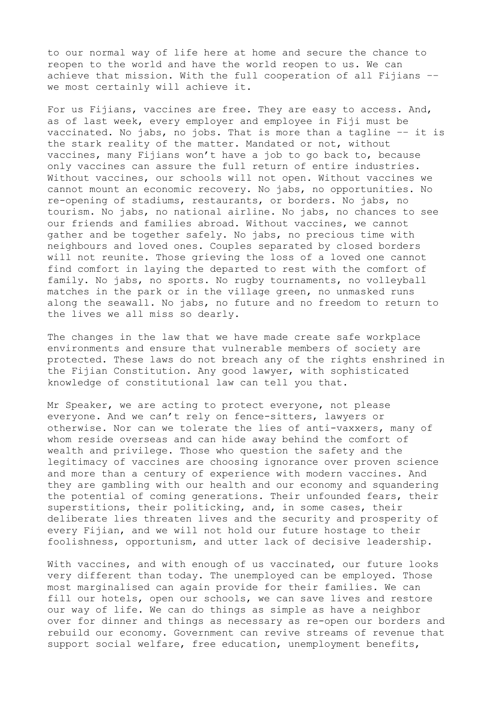to our normal way of life here at home and secure the chance to reopen to the world and have the world reopen to us. We can achieve that mission. With the full cooperation of all Fijians –– we most certainly will achieve it.

For us Fijians, vaccines are free. They are easy to access. And, as of last week, every employer and employee in Fiji must be vaccinated. No jabs, no jobs. That is more than a tagline –– it is the stark reality of the matter. Mandated or not, without vaccines, many Fijians won't have a job to go back to, because only vaccines can assure the full return of entire industries. Without vaccines, our schools will not open. Without vaccines we cannot mount an economic recovery. No jabs, no opportunities. No re-opening of stadiums, restaurants, or borders. No jabs, no tourism. No jabs, no national airline. No jabs, no chances to see our friends and families abroad. Without vaccines, we cannot gather and be together safely. No jabs, no precious time with neighbours and loved ones. Couples separated by closed borders will not reunite. Those grieving the loss of a loved one cannot find comfort in laying the departed to rest with the comfort of family. No jabs, no sports. No rugby tournaments, no volleyball matches in the park or in the village green, no unmasked runs along the seawall. No jabs, no future and no freedom to return to the lives we all miss so dearly.

The changes in the law that we have made create safe workplace environments and ensure that vulnerable members of society are protected. These laws do not breach any of the rights enshrined in the Fijian Constitution. Any good lawyer, with sophisticated knowledge of constitutional law can tell you that.

Mr Speaker, we are acting to protect everyone, not please everyone. And we can't rely on fence-sitters, lawyers or otherwise. Nor can we tolerate the lies of anti-vaxxers, many of whom reside overseas and can hide away behind the comfort of wealth and privilege. Those who question the safety and the legitimacy of vaccines are choosing ignorance over proven science and more than a century of experience with modern vaccines. And they are gambling with our health and our economy and squandering the potential of coming generations. Their unfounded fears, their superstitions, their politicking, and, in some cases, their deliberate lies threaten lives and the security and prosperity of every Fijian, and we will not hold our future hostage to their foolishness, opportunism, and utter lack of decisive leadership.

With vaccines, and with enough of us vaccinated, our future looks very different than today. The unemployed can be employed. Those most marginalised can again provide for their families. We can fill our hotels, open our schools, we can save lives and restore our way of life. We can do things as simple as have a neighbor over for dinner and things as necessary as re-open our borders and rebuild our economy. Government can revive streams of revenue that support social welfare, free education, unemployment benefits,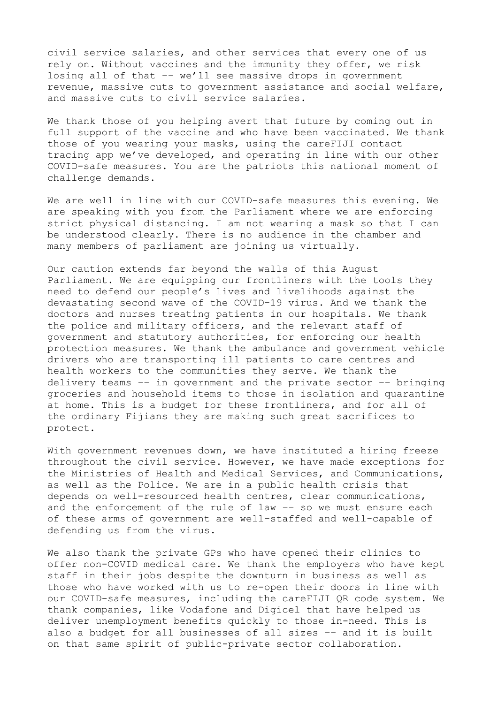civil service salaries, and other services that every one of us rely on. Without vaccines and the immunity they offer, we risk losing all of that –– we'll see massive drops in government revenue, massive cuts to government assistance and social welfare, and massive cuts to civil service salaries.

We thank those of you helping avert that future by coming out in full support of the vaccine and who have been vaccinated. We thank those of you wearing your masks, using the careFIJI contact tracing app we've developed, and operating in line with our other COVID-safe measures. You are the patriots this national moment of challenge demands.

We are well in line with our COVID-safe measures this evening. We are speaking with you from the Parliament where we are enforcing strict physical distancing. I am not wearing a mask so that I can be understood clearly. There is no audience in the chamber and many members of parliament are joining us virtually.

Our caution extends far beyond the walls of this August Parliament. We are equipping our frontliners with the tools they need to defend our people's lives and livelihoods against the devastating second wave of the COVID-19 virus. And we thank the doctors and nurses treating patients in our hospitals. We thank the police and military officers, and the relevant staff of government and statutory authorities, for enforcing our health protection measures. We thank the ambulance and government vehicle drivers who are transporting ill patients to care centres and health workers to the communities they serve. We thank the delivery teams –– in government and the private sector –– bringing groceries and household items to those in isolation and quarantine at home. This is a budget for these frontliners, and for all of the ordinary Fijians they are making such great sacrifices to protect.

With government revenues down, we have instituted a hiring freeze throughout the civil service. However, we have made exceptions for the Ministries of Health and Medical Services, and Communications, as well as the Police. We are in a public health crisis that depends on well-resourced health centres, clear communications, and the enforcement of the rule of law –– so we must ensure each of these arms of government are well-staffed and well-capable of defending us from the virus.

We also thank the private GPs who have opened their clinics to offer non-COVID medical care. We thank the employers who have kept staff in their jobs despite the downturn in business as well as those who have worked with us to re-open their doors in line with our COVID-safe measures, including the careFIJI QR code system. We thank companies, like Vodafone and Digicel that have helped us deliver unemployment benefits quickly to those in-need. This is also a budget for all businesses of all sizes –– and it is built on that same spirit of public-private sector collaboration.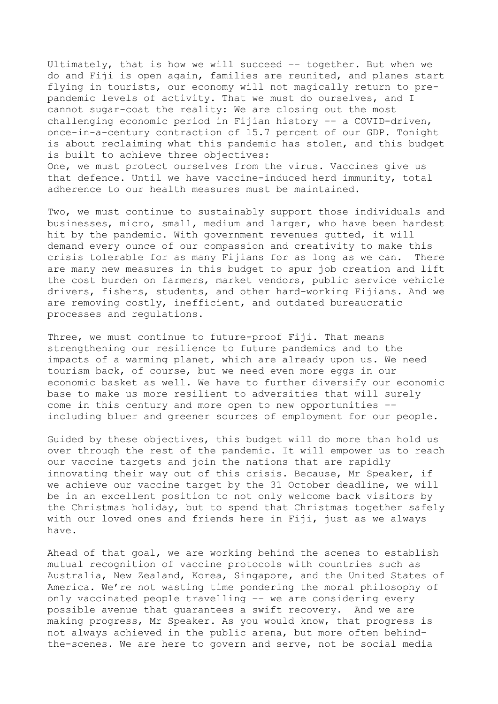Ultimately, that is how we will succeed –– together. But when we do and Fiji is open again, families are reunited, and planes start flying in tourists, our economy will not magically return to prepandemic levels of activity. That we must do ourselves, and I cannot sugar-coat the reality: We are closing out the most challenging economic period in Fijian history –– a COVID-driven, once-in-a-century contraction of 15.7 percent of our GDP. Tonight is about reclaiming what this pandemic has stolen, and this budget is built to achieve three objectives: One, we must protect ourselves from the virus. Vaccines give us that defence. Until we have vaccine-induced herd immunity, total adherence to our health measures must be maintained.

Two, we must continue to sustainably support those individuals and businesses, micro, small, medium and larger, who have been hardest hit by the pandemic. With government revenues gutted, it will demand every ounce of our compassion and creativity to make this crisis tolerable for as many Fijians for as long as we can. There are many new measures in this budget to spur job creation and lift the cost burden on farmers, market vendors, public service vehicle drivers, fishers, students, and other hard-working Fijians. And we are removing costly, inefficient, and outdated bureaucratic processes and regulations.

Three, we must continue to future-proof Fiji. That means strengthening our resilience to future pandemics and to the impacts of a warming planet, which are already upon us. We need tourism back, of course, but we need even more eggs in our economic basket as well. We have to further diversify our economic base to make us more resilient to adversities that will surely come in this century and more open to new opportunities –– including bluer and greener sources of employment for our people.

Guided by these objectives, this budget will do more than hold us over through the rest of the pandemic. It will empower us to reach our vaccine targets and join the nations that are rapidly innovating their way out of this crisis. Because, Mr Speaker, if we achieve our vaccine target by the 31 October deadline, we will be in an excellent position to not only welcome back visitors by the Christmas holiday, but to spend that Christmas together safely with our loved ones and friends here in Fiji, just as we always have.

Ahead of that goal, we are working behind the scenes to establish mutual recognition of vaccine protocols with countries such as Australia, New Zealand, Korea, Singapore, and the United States of America. We're not wasting time pondering the moral philosophy of only vaccinated people travelling –– we are considering every possible avenue that guarantees a swift recovery. And we are making progress, Mr Speaker. As you would know, that progress is not always achieved in the public arena, but more often behindthe-scenes. We are here to govern and serve, not be social media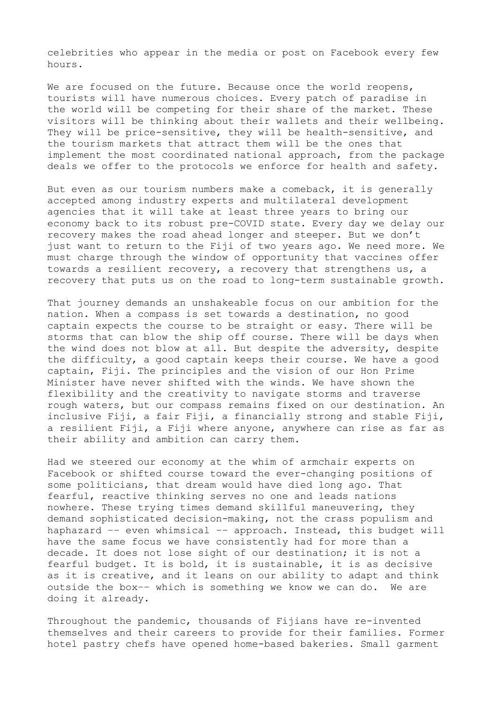celebrities who appear in the media or post on Facebook every few hours.

We are focused on the future. Because once the world reopens, tourists will have numerous choices. Every patch of paradise in the world will be competing for their share of the market. These visitors will be thinking about their wallets and their wellbeing. They will be price-sensitive, they will be health-sensitive, and the tourism markets that attract them will be the ones that implement the most coordinated national approach, from the package deals we offer to the protocols we enforce for health and safety.

But even as our tourism numbers make a comeback, it is generally accepted among industry experts and multilateral development agencies that it will take at least three years to bring our economy back to its robust pre-COVID state. Every day we delay our recovery makes the road ahead longer and steeper. But we don't just want to return to the Fiji of two years ago. We need more. We must charge through the window of opportunity that vaccines offer towards a resilient recovery, a recovery that strengthens us, a recovery that puts us on the road to long-term sustainable growth.

That journey demands an unshakeable focus on our ambition for the nation. When a compass is set towards a destination, no good captain expects the course to be straight or easy. There will be storms that can blow the ship off course. There will be days when the wind does not blow at all. But despite the adversity, despite the difficulty, a good captain keeps their course. We have a good captain, Fiji. The principles and the vision of our Hon Prime Minister have never shifted with the winds. We have shown the flexibility and the creativity to navigate storms and traverse rough waters, but our compass remains fixed on our destination. An inclusive Fiji, a fair Fiji, a financially strong and stable Fiji, a resilient Fiji, a Fiji where anyone, anywhere can rise as far as their ability and ambition can carry them.

Had we steered our economy at the whim of armchair experts on Facebook or shifted course toward the ever-changing positions of some politicians, that dream would have died long ago. That fearful, reactive thinking serves no one and leads nations nowhere. These trying times demand skillful maneuvering, they demand sophisticated decision-making, not the crass populism and haphazard –– even whimsical –– approach. Instead, this budget will have the same focus we have consistently had for more than a decade. It does not lose sight of our destination; it is not a fearful budget. It is bold, it is sustainable, it is as decisive as it is creative, and it leans on our ability to adapt and think outside the box–– which is something we know we can do. We are doing it already.

Throughout the pandemic, thousands of Fijians have re-invented themselves and their careers to provide for their families. Former hotel pastry chefs have opened home-based bakeries. Small garment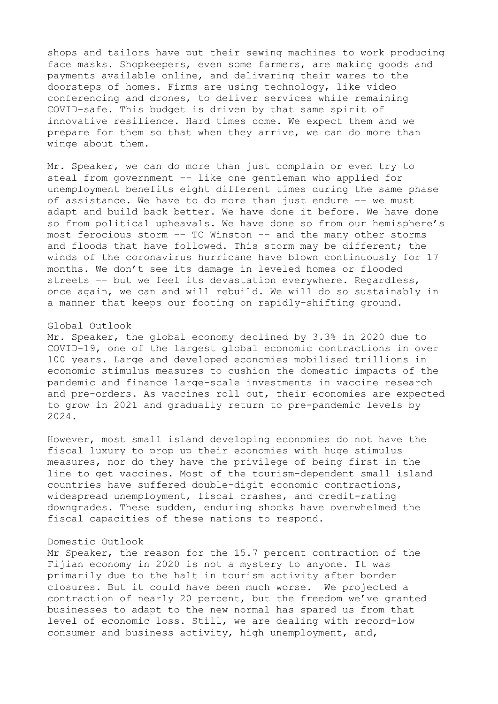shops and tailors have put their sewing machines to work producing face masks. Shopkeepers, even some farmers, are making goods and payments available online, and delivering their wares to the doorsteps of homes. Firms are using technology, like video conferencing and drones, to deliver services while remaining COVID-safe. This budget is driven by that same spirit of innovative resilience. Hard times come. We expect them and we prepare for them so that when they arrive, we can do more than winge about them.

Mr. Speaker, we can do more than just complain or even try to steal from government –– like one gentleman who applied for unemployment benefits eight different times during the same phase of assistance. We have to do more than just endure –– we must adapt and build back better. We have done it before. We have done so from political upheavals. We have done so from our hemisphere's most ferocious storm –– TC Winston –– and the many other storms and floods that have followed. This storm may be different; the winds of the coronavirus hurricane have blown continuously for 17 months. We don't see its damage in leveled homes or flooded streets –– but we feel its devastation everywhere. Regardless, once again, we can and will rebuild. We will do so sustainably in a manner that keeps our footing on rapidly-shifting ground.

### Global Outlook

Mr. Speaker, the global economy declined by 3.3% in 2020 due to COVID-19, one of the largest global economic contractions in over 100 years. Large and developed economies mobilised trillions in economic stimulus measures to cushion the domestic impacts of the pandemic and finance large-scale investments in vaccine research and pre-orders. As vaccines roll out, their economies are expected to grow in 2021 and gradually return to pre-pandemic levels by 2024.

However, most small island developing economies do not have the fiscal luxury to prop up their economies with huge stimulus measures, nor do they have the privilege of being first in the line to get vaccines. Most of the tourism-dependent small island countries have suffered double-digit economic contractions, widespread unemployment, fiscal crashes, and credit-rating downgrades. These sudden, enduring shocks have overwhelmed the fiscal capacities of these nations to respond.

### Domestic Outlook

Mr Speaker, the reason for the 15.7 percent contraction of the Fijian economy in 2020 is not a mystery to anyone. It was primarily due to the halt in tourism activity after border closures. But it could have been much worse. We projected a contraction of nearly 20 percent, but the freedom we've granted businesses to adapt to the new normal has spared us from that level of economic loss. Still, we are dealing with record-low consumer and business activity, high unemployment, and,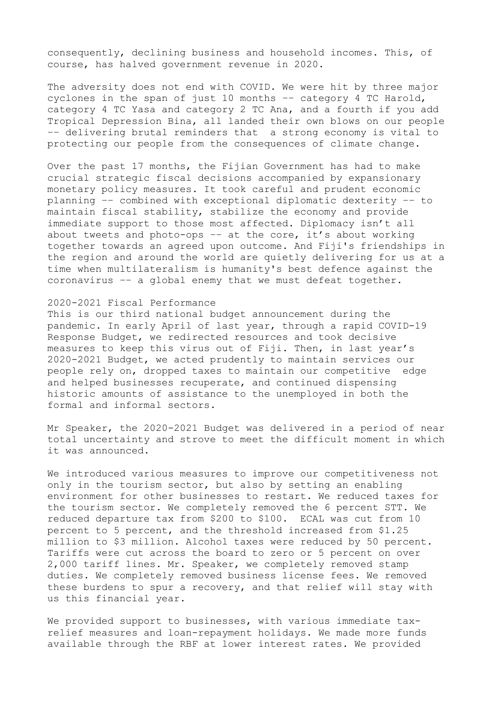consequently, declining business and household incomes. This, of course, has halved government revenue in 2020.

The adversity does not end with COVID. We were hit by three major cyclones in the span of just 10 months –– category 4 TC Harold, category 4 TC Yasa and category 2 TC Ana, and a fourth if you add Tropical Depression Bina, all landed their own blows on our people –– delivering brutal reminders that a strong economy is vital to protecting our people from the consequences of climate change.

Over the past 17 months, the Fijian Government has had to make crucial strategic fiscal decisions accompanied by expansionary monetary policy measures. It took careful and prudent economic planning –– combined with exceptional diplomatic dexterity –– to maintain fiscal stability, stabilize the economy and provide immediate support to those most affected. Diplomacy isn't all about tweets and photo-ops  $-$  at the core, it's about working together towards an agreed upon outcome. And Fiji's friendships in the region and around the world are quietly delivering for us at a time when multilateralism is humanity's best defence against the coronavirus –– a global enemy that we must defeat together.

### 2020-2021 Fiscal Performance

This is our third national budget announcement during the pandemic. In early April of last year, through a rapid COVID-19 Response Budget, we redirected resources and took decisive measures to keep this virus out of Fiji. Then, in last year's 2020-2021 Budget, we acted prudently to maintain services our people rely on, dropped taxes to maintain our competitive edge and helped businesses recuperate, and continued dispensing historic amounts of assistance to the unemployed in both the formal and informal sectors.

Mr Speaker, the 2020-2021 Budget was delivered in a period of near total uncertainty and strove to meet the difficult moment in which it was announced.

We introduced various measures to improve our competitiveness not only in the tourism sector, but also by setting an enabling environment for other businesses to restart. We reduced taxes for the tourism sector. We completely removed the 6 percent STT. We reduced departure tax from \$200 to \$100. ECAL was cut from 10 percent to 5 percent, and the threshold increased from \$1.25 million to \$3 million. Alcohol taxes were reduced by 50 percent. Tariffs were cut across the board to zero or 5 percent on over 2,000 tariff lines. Mr. Speaker, we completely removed stamp duties. We completely removed business license fees. We removed these burdens to spur a recovery, and that relief will stay with us this financial year.

We provided support to businesses, with various immediate taxrelief measures and loan-repayment holidays. We made more funds available through the RBF at lower interest rates. We provided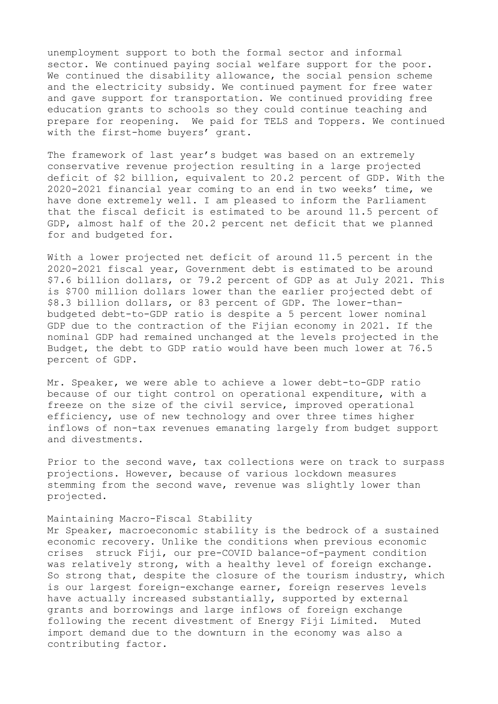unemployment support to both the formal sector and informal sector. We continued paying social welfare support for the poor. We continued the disability allowance, the social pension scheme and the electricity subsidy. We continued payment for free water and gave support for transportation. We continued providing free education grants to schools so they could continue teaching and prepare for reopening. We paid for TELS and Toppers. We continued with the first-home buyers' grant.

The framework of last year's budget was based on an extremely conservative revenue projection resulting in a large projected deficit of \$2 billion, equivalent to 20.2 percent of GDP. With the 2020-2021 financial year coming to an end in two weeks' time, we have done extremely well. I am pleased to inform the Parliament that the fiscal deficit is estimated to be around 11.5 percent of GDP, almost half of the 20.2 percent net deficit that we planned for and budgeted for.

With a lower projected net deficit of around 11.5 percent in the 2020-2021 fiscal year, Government debt is estimated to be around \$7.6 billion dollars, or 79.2 percent of GDP as at July 2021. This is \$700 million dollars lower than the earlier projected debt of \$8.3 billion dollars, or 83 percent of GDP. The lower-thanbudgeted debt-to-GDP ratio is despite a 5 percent lower nominal GDP due to the contraction of the Fijian economy in 2021. If the nominal GDP had remained unchanged at the levels projected in the Budget, the debt to GDP ratio would have been much lower at 76.5 percent of GDP.

Mr. Speaker, we were able to achieve a lower debt-to-GDP ratio because of our tight control on operational expenditure, with a freeze on the size of the civil service, improved operational efficiency, use of new technology and over three times higher inflows of non-tax revenues emanating largely from budget support and divestments.

Prior to the second wave, tax collections were on track to surpass projections. However, because of various lockdown measures stemming from the second wave, revenue was slightly lower than projected.

### Maintaining Macro-Fiscal Stability

Mr Speaker, macroeconomic stability is the bedrock of a sustained economic recovery. Unlike the conditions when previous economic crises struck Fiji, our pre-COVID balance-of-payment condition was relatively strong, with a healthy level of foreign exchange. So strong that, despite the closure of the tourism industry, which is our largest foreign-exchange earner, foreign reserves levels have actually increased substantially, supported by external grants and borrowings and large inflows of foreign exchange following the recent divestment of Energy Fiji Limited. Muted import demand due to the downturn in the economy was also a contributing factor.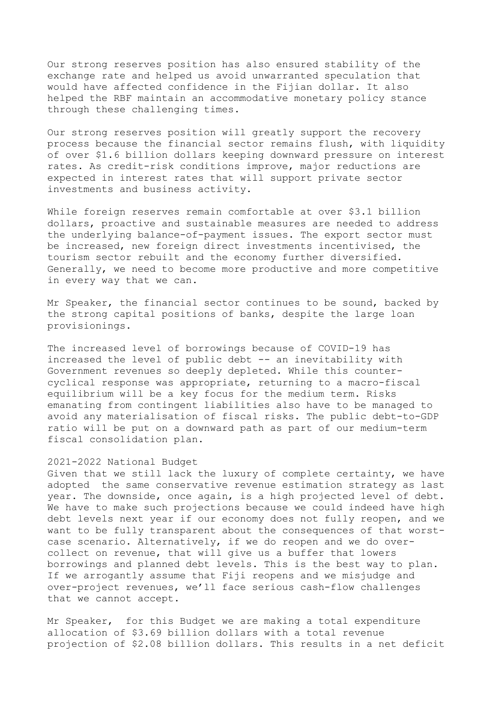Our strong reserves position has also ensured stability of the exchange rate and helped us avoid unwarranted speculation that would have affected confidence in the Fijian dollar. It also helped the RBF maintain an accommodative monetary policy stance through these challenging times.

Our strong reserves position will greatly support the recovery process because the financial sector remains flush, with liquidity of over \$1.6 billion dollars keeping downward pressure on interest rates. As credit-risk conditions improve, major reductions are expected in interest rates that will support private sector investments and business activity.

While foreign reserves remain comfortable at over \$3.1 billion dollars, proactive and sustainable measures are needed to address the underlying balance-of-payment issues. The export sector must be increased, new foreign direct investments incentivised, the tourism sector rebuilt and the economy further diversified. Generally, we need to become more productive and more competitive in every way that we can.

Mr Speaker, the financial sector continues to be sound, backed by the strong capital positions of banks, despite the large loan provisionings.

The increased level of borrowings because of COVID-19 has increased the level of public debt -- an inevitability with Government revenues so deeply depleted. While this countercyclical response was appropriate, returning to a macro-fiscal equilibrium will be a key focus for the medium term. Risks emanating from contingent liabilities also have to be managed to avoid any materialisation of fiscal risks. The public debt-to-GDP ratio will be put on a downward path as part of our medium-term fiscal consolidation plan.

#### 2021-2022 National Budget

Given that we still lack the luxury of complete certainty, we have adopted the same conservative revenue estimation strategy as last year. The downside, once again, is a high projected level of debt. We have to make such projections because we could indeed have high debt levels next year if our economy does not fully reopen, and we want to be fully transparent about the consequences of that worstcase scenario. Alternatively, if we do reopen and we do overcollect on revenue, that will give us a buffer that lowers borrowings and planned debt levels. This is the best way to plan. If we arrogantly assume that Fiji reopens and we misjudge and over-project revenues, we'll face serious cash-flow challenges that we cannot accept.

Mr Speaker, for this Budget we are making a total expenditure allocation of \$3.69 billion dollars with a total revenue projection of \$2.08 billion dollars. This results in a net deficit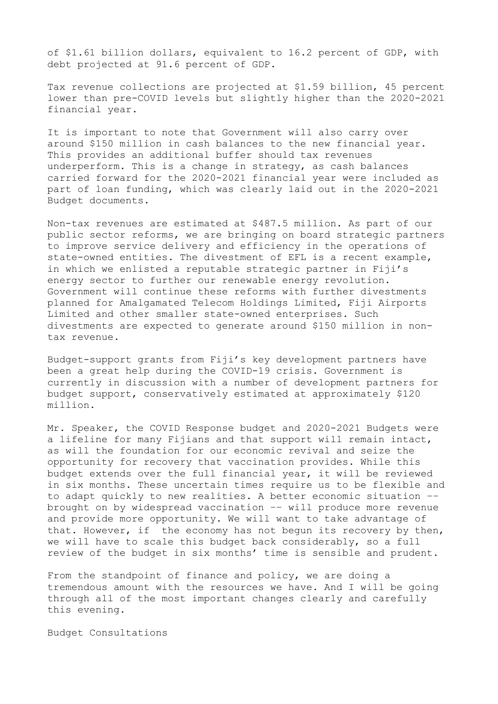of \$1.61 billion dollars, equivalent to 16.2 percent of GDP, with debt projected at 91.6 percent of GDP.

Tax revenue collections are projected at \$1.59 billion, 45 percent lower than pre-COVID levels but slightly higher than the 2020-2021 financial year.

It is important to note that Government will also carry over around \$150 million in cash balances to the new financial year. This provides an additional buffer should tax revenues underperform. This is a change in strategy, as cash balances carried forward for the 2020-2021 financial year were included as part of loan funding, which was clearly laid out in the 2020-2021 Budget documents.

Non-tax revenues are estimated at \$487.5 million. As part of our public sector reforms, we are bringing on board strategic partners to improve service delivery and efficiency in the operations of state-owned entities. The divestment of EFL is a recent example, in which we enlisted a reputable strategic partner in Fiji's energy sector to further our renewable energy revolution. Government will continue these reforms with further divestments planned for Amalgamated Telecom Holdings Limited, Fiji Airports Limited and other smaller state-owned enterprises. Such divestments are expected to generate around \$150 million in nontax revenue.

Budget-support grants from Fiji's key development partners have been a great help during the COVID-19 crisis. Government is currently in discussion with a number of development partners for budget support, conservatively estimated at approximately \$120 million.

Mr. Speaker, the COVID Response budget and 2020-2021 Budgets were a lifeline for many Fijians and that support will remain intact, as will the foundation for our economic revival and seize the opportunity for recovery that vaccination provides. While this budget extends over the full financial year, it will be reviewed in six months. These uncertain times require us to be flexible and to adapt quickly to new realities. A better economic situation –– brought on by widespread vaccination –– will produce more revenue and provide more opportunity. We will want to take advantage of that. However, if the economy has not begun its recovery by then, we will have to scale this budget back considerably, so a full review of the budget in six months' time is sensible and prudent.

From the standpoint of finance and policy, we are doing a tremendous amount with the resources we have. And I will be going through all of the most important changes clearly and carefully this evening.

Budget Consultations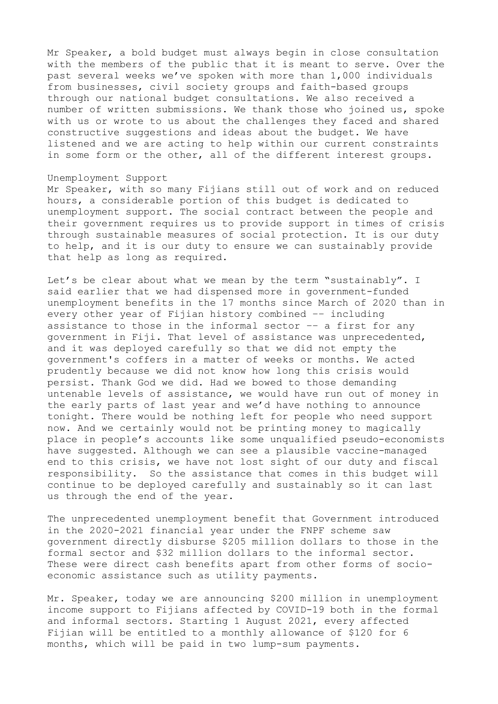Mr Speaker, a bold budget must always begin in close consultation with the members of the public that it is meant to serve. Over the past several weeks we've spoken with more than 1,000 individuals from businesses, civil society groups and faith-based groups through our national budget consultations. We also received a number of written submissions. We thank those who joined us, spoke with us or wrote to us about the challenges they faced and shared constructive suggestions and ideas about the budget. We have listened and we are acting to help within our current constraints in some form or the other, all of the different interest groups.

### Unemployment Support

Mr Speaker, with so many Fijians still out of work and on reduced hours, a considerable portion of this budget is dedicated to unemployment support. The social contract between the people and their government requires us to provide support in times of crisis through sustainable measures of social protection. It is our duty to help, and it is our duty to ensure we can sustainably provide that help as long as required.

Let's be clear about what we mean by the term "sustainably". I said earlier that we had dispensed more in government-funded unemployment benefits in the 17 months since March of 2020 than in every other year of Fijian history combined –– including assistance to those in the informal sector –– a first for any government in Fiji. That level of assistance was unprecedented, and it was deployed carefully so that we did not empty the government's coffers in a matter of weeks or months. We acted prudently because we did not know how long this crisis would persist. Thank God we did. Had we bowed to those demanding untenable levels of assistance, we would have run out of money in the early parts of last year and we'd have nothing to announce tonight. There would be nothing left for people who need support now. And we certainly would not be printing money to magically place in people's accounts like some unqualified pseudo-economists have suggested. Although we can see a plausible vaccine-managed end to this crisis, we have not lost sight of our duty and fiscal responsibility. So the assistance that comes in this budget will continue to be deployed carefully and sustainably so it can last us through the end of the year.

The unprecedented unemployment benefit that Government introduced in the 2020-2021 financial year under the FNPF scheme saw government directly disburse \$205 million dollars to those in the formal sector and \$32 million dollars to the informal sector. These were direct cash benefits apart from other forms of socioeconomic assistance such as utility payments.

Mr. Speaker, today we are announcing \$200 million in unemployment income support to Fijians affected by COVID-19 both in the formal and informal sectors. Starting 1 August 2021, every affected Fijian will be entitled to a monthly allowance of \$120 for 6 months, which will be paid in two lump-sum payments.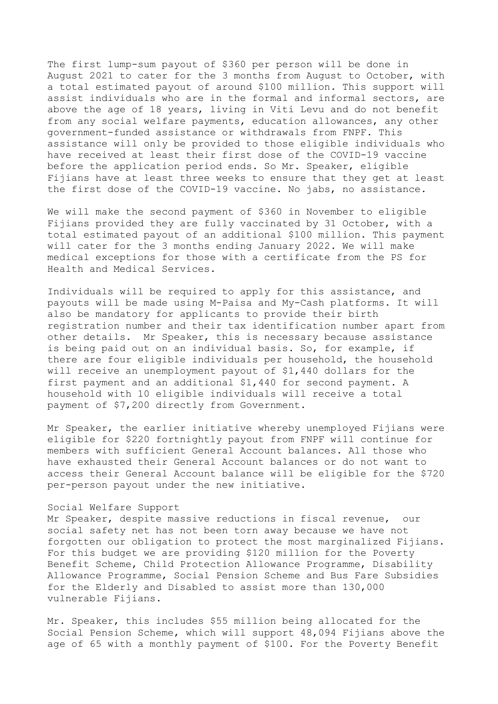The first lump-sum payout of \$360 per person will be done in August 2021 to cater for the 3 months from August to October, with a total estimated payout of around \$100 million. This support will assist individuals who are in the formal and informal sectors, are above the age of 18 years, living in Viti Levu and do not benefit from any social welfare payments, education allowances, any other government-funded assistance or withdrawals from FNPF. This assistance will only be provided to those eligible individuals who have received at least their first dose of the COVID-19 vaccine before the application period ends. So Mr. Speaker, eligible Fijians have at least three weeks to ensure that they get at least the first dose of the COVID-19 vaccine. No jabs, no assistance.

We will make the second payment of \$360 in November to eligible Fijians provided they are fully vaccinated by 31 October, with a total estimated payout of an additional \$100 million. This payment will cater for the 3 months ending January 2022. We will make medical exceptions for those with a certificate from the PS for Health and Medical Services.

Individuals will be required to apply for this assistance, and payouts will be made using M-Paisa and My-Cash platforms. It will also be mandatory for applicants to provide their birth registration number and their tax identification number apart from other details. Mr Speaker, this is necessary because assistance is being paid out on an individual basis. So, for example, if there are four eligible individuals per household, the household will receive an unemployment payout of \$1,440 dollars for the first payment and an additional \$1,440 for second payment. A household with 10 eligible individuals will receive a total payment of \$7,200 directly from Government.

Mr Speaker, the earlier initiative whereby unemployed Fijians were eligible for \$220 fortnightly payout from FNPF will continue for members with sufficient General Account balances. All those who have exhausted their General Account balances or do not want to access their General Account balance will be eligible for the \$720 per-person payout under the new initiative.

### Social Welfare Support

Mr Speaker, despite massive reductions in fiscal revenue, our social safety net has not been torn away because we have not forgotten our obligation to protect the most marginalized Fijians. For this budget we are providing \$120 million for the Poverty Benefit Scheme, Child Protection Allowance Programme, Disability Allowance Programme, Social Pension Scheme and Bus Fare Subsidies for the Elderly and Disabled to assist more than 130,000 vulnerable Fijians.

Mr. Speaker, this includes \$55 million being allocated for the Social Pension Scheme, which will support 48,094 Fijians above the age of 65 with a monthly payment of \$100. For the Poverty Benefit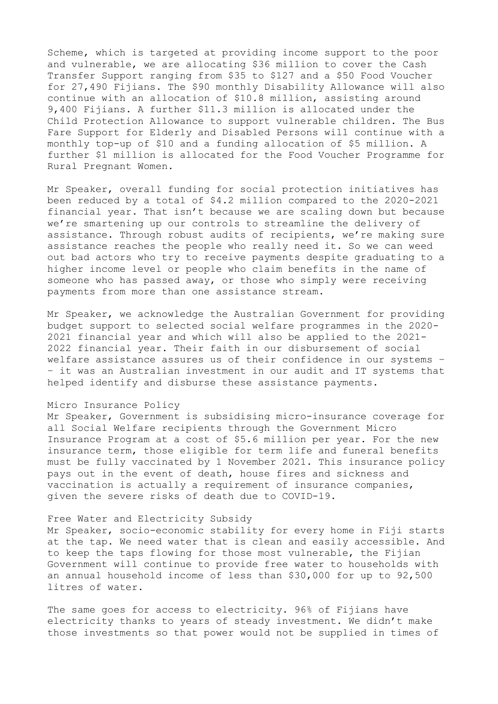Scheme, which is targeted at providing income support to the poor and vulnerable, we are allocating \$36 million to cover the Cash Transfer Support ranging from \$35 to \$127 and a \$50 Food Voucher for 27,490 Fijians. The \$90 monthly Disability Allowance will also continue with an allocation of \$10.8 million, assisting around 9,400 Fijians. A further \$11.3 million is allocated under the Child Protection Allowance to support vulnerable children. The Bus Fare Support for Elderly and Disabled Persons will continue with a monthly top-up of \$10 and a funding allocation of \$5 million. A further \$1 million is allocated for the Food Voucher Programme for Rural Pregnant Women.

Mr Speaker, overall funding for social protection initiatives has been reduced by a total of \$4.2 million compared to the 2020-2021 financial year. That isn't because we are scaling down but because we're smartening up our controls to streamline the delivery of assistance. Through robust audits of recipients, we're making sure assistance reaches the people who really need it. So we can weed out bad actors who try to receive payments despite graduating to a higher income level or people who claim benefits in the name of someone who has passed away, or those who simply were receiving payments from more than one assistance stream.

Mr Speaker, we acknowledge the Australian Government for providing budget support to selected social welfare programmes in the 2020- 2021 financial year and which will also be applied to the 2021- 2022 financial year. Their faith in our disbursement of social welfare assistance assures us of their confidence in our systems – – it was an Australian investment in our audit and IT systems that helped identify and disburse these assistance payments.

### Micro Insurance Policy

Mr Speaker, Government is subsidising micro-insurance coverage for all Social Welfare recipients through the Government Micro Insurance Program at a cost of \$5.6 million per year. For the new insurance term, those eligible for term life and funeral benefits must be fully vaccinated by 1 November 2021. This insurance policy pays out in the event of death, house fires and sickness and vaccination is actually a requirement of insurance companies, given the severe risks of death due to COVID-19.

### Free Water and Electricity Subsidy

Mr Speaker, socio-economic stability for every home in Fiji starts at the tap. We need water that is clean and easily accessible. And to keep the taps flowing for those most vulnerable, the Fijian Government will continue to provide free water to households with an annual household income of less than \$30,000 for up to 92,500 litres of water.

The same goes for access to electricity. 96% of Fijians have electricity thanks to years of steady investment. We didn't make those investments so that power would not be supplied in times of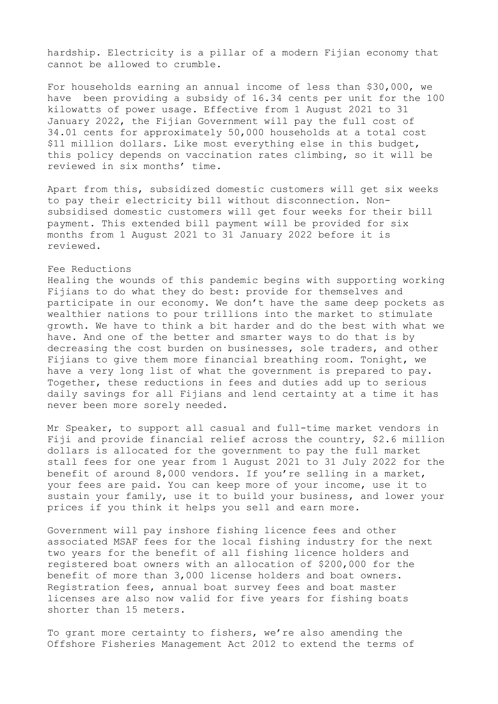hardship. Electricity is a pillar of a modern Fijian economy that cannot be allowed to crumble.

For households earning an annual income of less than \$30,000, we have been providing a subsidy of 16.34 cents per unit for the 100 kilowatts of power usage. Effective from 1 August 2021 to 31 January 2022, the Fijian Government will pay the full cost of 34.01 cents for approximately 50,000 households at a total cost \$11 million dollars. Like most everything else in this budget, this policy depends on vaccination rates climbing, so it will be reviewed in six months' time.

Apart from this, subsidized domestic customers will get six weeks to pay their electricity bill without disconnection. Nonsubsidised domestic customers will get four weeks for their bill payment. This extended bill payment will be provided for six months from 1 August 2021 to 31 January 2022 before it is reviewed.

## Fee Reductions

Healing the wounds of this pandemic begins with supporting working Fijians to do what they do best: provide for themselves and participate in our economy. We don't have the same deep pockets as wealthier nations to pour trillions into the market to stimulate growth. We have to think a bit harder and do the best with what we have. And one of the better and smarter ways to do that is by decreasing the cost burden on businesses, sole traders, and other Fijians to give them more financial breathing room. Tonight, we have a very long list of what the government is prepared to pay. Together, these reductions in fees and duties add up to serious daily savings for all Fijians and lend certainty at a time it has never been more sorely needed.

Mr Speaker, to support all casual and full-time market vendors in Fiji and provide financial relief across the country, \$2.6 million dollars is allocated for the government to pay the full market stall fees for one year from 1 August 2021 to 31 July 2022 for the benefit of around 8,000 vendors. If you're selling in a market, your fees are paid. You can keep more of your income, use it to sustain your family, use it to build your business, and lower your prices if you think it helps you sell and earn more.

Government will pay inshore fishing licence fees and other associated MSAF fees for the local fishing industry for the next two years for the benefit of all fishing licence holders and registered boat owners with an allocation of \$200,000 for the benefit of more than 3,000 license holders and boat owners. Registration fees, annual boat survey fees and boat master licenses are also now valid for five years for fishing boats shorter than 15 meters.

To grant more certainty to fishers, we're also amending the Offshore Fisheries Management Act 2012 to extend the terms of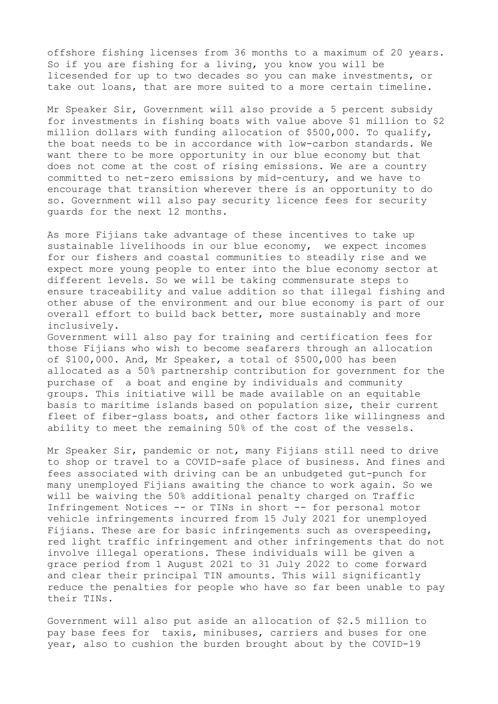offshore fishing licenses from 36 months to a maximum of 20 years. So if you are fishing for a living, you know you will be licesended for up to two decades so you can make investments, or take out loans, that are more suited to a more certain timeline.

Mr Speaker Sir, Government will also provide a 5 percent subsidy for investments in fishing boats with value above \$1 million to \$2 million dollars with funding allocation of \$500,000. To qualify, the boat needs to be in accordance with low-carbon standards. We want there to be more opportunity in our blue economy but that does not come at the cost of rising emissions. We are a country committed to net-zero emissions by mid-century, and we have to encourage that transition wherever there is an opportunity to do so. Government will also pay security licence fees for security guards for the next 12 months.

As more Fijians take advantage of these incentives to take up sustainable livelihoods in our blue economy, we expect incomes for our fishers and coastal communities to steadily rise and we expect more young people to enter into the blue economy sector at different levels. So we will be taking commensurate steps to ensure traceability and value addition so that illegal fishing and other abuse of the environment and our blue economy is part of our overall effort to build back better, more sustainably and more inclusively.

Government will also pay for training and certification fees for those Fijians who wish to become seafarers through an allocation of \$100,000. And, Mr Speaker, a total of \$500,000 has been allocated as a 50% partnership contribution for government for the purchase of a boat and engine by individuals and community groups. This initiative will be made available on an equitable basis to maritime islands based on population size, their current fleet of fiber-glass boats, and other factors like willingness and ability to meet the remaining 50% of the cost of the vessels.

Mr Speaker Sir, pandemic or not, many Fijians still need to drive to shop or travel to a COVID-safe place of business. And fines and fees associated with driving can be an unbudgeted gut-punch for many unemployed Fijians awaiting the chance to work again. So we will be waiving the 50% additional penalty charged on Traffic Infringement Notices -- or TINs in short -- for personal motor vehicle infringements incurred from 15 July 2021 for unemployed Fijians. These are for basic infringements such as overspeeding, red light traffic infringement and other infringements that do not involve illegal operations. These individuals will be given a grace period from 1 August 2021 to 31 July 2022 to come forward and clear their principal TIN amounts. This will significantly reduce the penalties for people who have so far been unable to pay their TINs.

Government will also put aside an allocation of \$2.5 million to pay base fees for taxis, minibuses, carriers and buses for one year, also to cushion the burden brought about by the COVID-19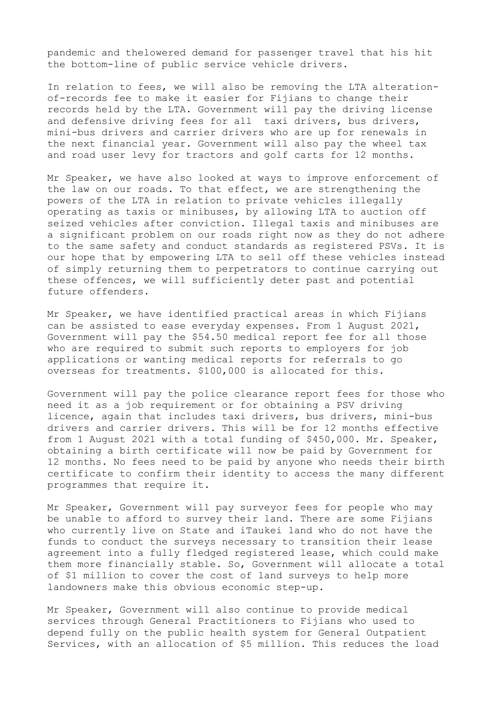pandemic and thelowered demand for passenger travel that his hit the bottom-line of public service vehicle drivers.

In relation to fees, we will also be removing the LTA alterationof-records fee to make it easier for Fijians to change their records held by the LTA. Government will pay the driving license and defensive driving fees for all taxi drivers, bus drivers, mini-bus drivers and carrier drivers who are up for renewals in the next financial year. Government will also pay the wheel tax and road user levy for tractors and golf carts for 12 months.

Mr Speaker, we have also looked at ways to improve enforcement of the law on our roads. To that effect, we are strengthening the powers of the LTA in relation to private vehicles illegally operating as taxis or minibuses, by allowing LTA to auction off seized vehicles after conviction. Illegal taxis and minibuses are a significant problem on our roads right now as they do not adhere to the same safety and conduct standards as registered PSVs. It is our hope that by empowering LTA to sell off these vehicles instead of simply returning them to perpetrators to continue carrying out these offences, we will sufficiently deter past and potential future offenders.

Mr Speaker, we have identified practical areas in which Fijians can be assisted to ease everyday expenses. From 1 August 2021, Government will pay the \$54.50 medical report fee for all those who are required to submit such reports to employers for job applications or wanting medical reports for referrals to go overseas for treatments. \$100,000 is allocated for this.

Government will pay the police clearance report fees for those who need it as a job requirement or for obtaining a PSV driving licence, again that includes taxi drivers, bus drivers, mini-bus drivers and carrier drivers. This will be for 12 months effective from 1 August 2021 with a total funding of \$450,000. Mr. Speaker, obtaining a birth certificate will now be paid by Government for 12 months. No fees need to be paid by anyone who needs their birth certificate to confirm their identity to access the many different programmes that require it.

Mr Speaker, Government will pay surveyor fees for people who may be unable to afford to survey their land. There are some Fijians who currently live on State and iTaukei land who do not have the funds to conduct the surveys necessary to transition their lease agreement into a fully fledged registered lease, which could make them more financially stable. So, Government will allocate a total of \$1 million to cover the cost of land surveys to help more landowners make this obvious economic step-up.

Mr Speaker, Government will also continue to provide medical services through General Practitioners to Fijians who used to depend fully on the public health system for General Outpatient Services, with an allocation of \$5 million. This reduces the load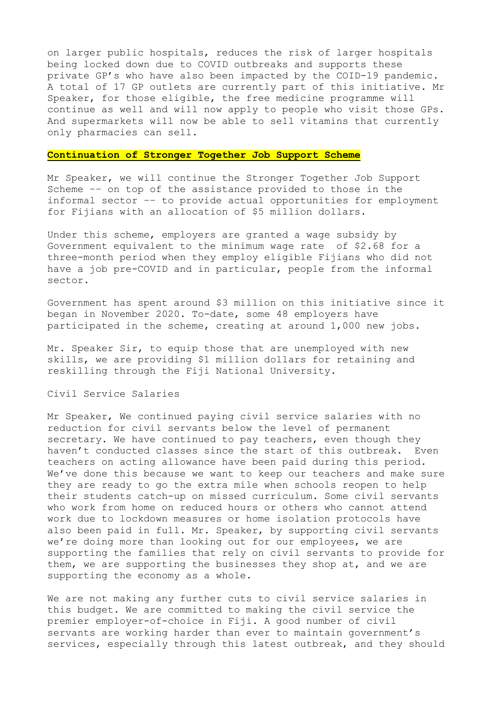on larger public hospitals, reduces the risk of larger hospitals being locked down due to COVID outbreaks and supports these private GP's who have also been impacted by the COID-19 pandemic. A total of 17 GP outlets are currently part of this initiative. Mr Speaker, for those eligible, the free medicine programme will continue as well and will now apply to people who visit those GPs. And supermarkets will now be able to sell vitamins that currently only pharmacies can sell.

#### **Continuation of Stronger Together Job Support Scheme**

Mr Speaker, we will continue the Stronger Together Job Support Scheme –– on top of the assistance provided to those in the informal sector –– to provide actual opportunities for employment for Fijians with an allocation of \$5 million dollars.

Under this scheme, employers are granted a wage subsidy by Government equivalent to the minimum wage rate of \$2.68 for a three-month period when they employ eligible Fijians who did not have a job pre-COVID and in particular, people from the informal sector.

Government has spent around \$3 million on this initiative since it began in November 2020. To-date, some 48 employers have participated in the scheme, creating at around 1,000 new jobs.

Mr. Speaker Sir, to equip those that are unemployed with new skills, we are providing \$1 million dollars for retaining and reskilling through the Fiji National University.

### Civil Service Salaries

Mr Speaker, We continued paying civil service salaries with no reduction for civil servants below the level of permanent secretary. We have continued to pay teachers, even though they haven't conducted classes since the start of this outbreak. Even teachers on acting allowance have been paid during this period. We've done this because we want to keep our teachers and make sure they are ready to go the extra mile when schools reopen to help their students catch-up on missed curriculum. Some civil servants who work from home on reduced hours or others who cannot attend work due to lockdown measures or home isolation protocols have also been paid in full. Mr. Speaker, by supporting civil servants we're doing more than looking out for our employees, we are supporting the families that rely on civil servants to provide for them, we are supporting the businesses they shop at, and we are supporting the economy as a whole.

We are not making any further cuts to civil service salaries in this budget. We are committed to making the civil service the premier employer-of-choice in Fiji. A good number of civil servants are working harder than ever to maintain government's services, especially through this latest outbreak, and they should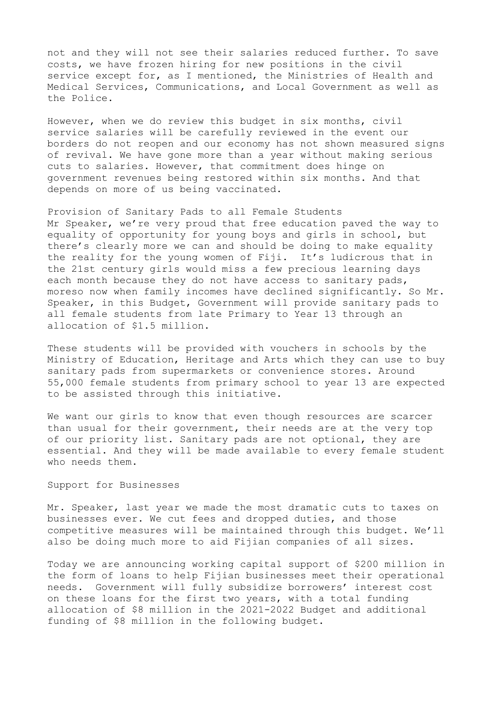not and they will not see their salaries reduced further. To save costs, we have frozen hiring for new positions in the civil service except for, as I mentioned, the Ministries of Health and Medical Services, Communications, and Local Government as well as the Police.

However, when we do review this budget in six months, civil service salaries will be carefully reviewed in the event our borders do not reopen and our economy has not shown measured signs of revival. We have gone more than a year without making serious cuts to salaries. However, that commitment does hinge on government revenues being restored within six months. And that depends on more of us being vaccinated.

Provision of Sanitary Pads to all Female Students Mr Speaker, we're very proud that free education paved the way to equality of opportunity for young boys and girls in school, but there's clearly more we can and should be doing to make equality the reality for the young women of Fiji. It's ludicrous that in the 21st century girls would miss a few precious learning days each month because they do not have access to sanitary pads, moreso now when family incomes have declined significantly. So Mr. Speaker, in this Budget, Government will provide sanitary pads to all female students from late Primary to Year 13 through an allocation of \$1.5 million.

These students will be provided with vouchers in schools by the Ministry of Education, Heritage and Arts which they can use to buy sanitary pads from supermarkets or convenience stores. Around 55,000 female students from primary school to year 13 are expected to be assisted through this initiative.

We want our girls to know that even though resources are scarcer than usual for their government, their needs are at the very top of our priority list. Sanitary pads are not optional, they are essential. And they will be made available to every female student who needs them.

### Support for Businesses

Mr. Speaker, last year we made the most dramatic cuts to taxes on businesses ever. We cut fees and dropped duties, and those competitive measures will be maintained through this budget. We'll also be doing much more to aid Fijian companies of all sizes.

Today we are announcing working capital support of \$200 million in the form of loans to help Fijian businesses meet their operational needs. Government will fully subsidize borrowers' interest cost on these loans for the first two years, with a total funding allocation of \$8 million in the 2021-2022 Budget and additional funding of \$8 million in the following budget.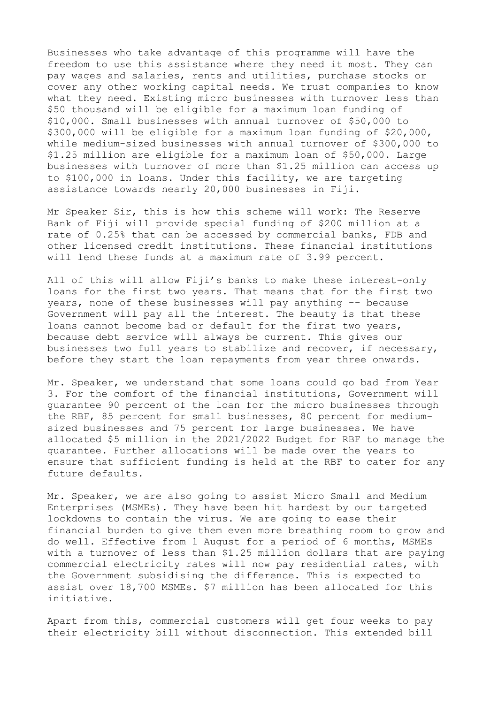Businesses who take advantage of this programme will have the freedom to use this assistance where they need it most. They can pay wages and salaries, rents and utilities, purchase stocks or cover any other working capital needs. We trust companies to know what they need. Existing micro businesses with turnover less than \$50 thousand will be eligible for a maximum loan funding of \$10,000. Small businesses with annual turnover of \$50,000 to \$300,000 will be eligible for a maximum loan funding of \$20,000, while medium-sized businesses with annual turnover of \$300,000 to \$1.25 million are eligible for a maximum loan of \$50,000. Large businesses with turnover of more than \$1.25 million can access up to \$100,000 in loans. Under this facility, we are targeting assistance towards nearly 20,000 businesses in Fiji.

Mr Speaker Sir, this is how this scheme will work: The Reserve Bank of Fiji will provide special funding of \$200 million at a rate of 0.25% that can be accessed by commercial banks, FDB and other licensed credit institutions. These financial institutions will lend these funds at a maximum rate of 3.99 percent.

All of this will allow Fiji's banks to make these interest-only loans for the first two years. That means that for the first two years, none of these businesses will pay anything -- because Government will pay all the interest. The beauty is that these loans cannot become bad or default for the first two years, because debt service will always be current. This gives our businesses two full years to stabilize and recover, if necessary, before they start the loan repayments from year three onwards.

Mr. Speaker, we understand that some loans could go bad from Year 3. For the comfort of the financial institutions, Government will guarantee 90 percent of the loan for the micro businesses through the RBF, 85 percent for small businesses, 80 percent for mediumsized businesses and 75 percent for large businesses. We have allocated \$5 million in the 2021/2022 Budget for RBF to manage the guarantee. Further allocations will be made over the years to ensure that sufficient funding is held at the RBF to cater for any future defaults.

Mr. Speaker, we are also going to assist Micro Small and Medium Enterprises (MSMEs). They have been hit hardest by our targeted lockdowns to contain the virus. We are going to ease their financial burden to give them even more breathing room to grow and do well. Effective from 1 August for a period of 6 months, MSMEs with a turnover of less than \$1.25 million dollars that are paying commercial electricity rates will now pay residential rates, with the Government subsidising the difference. This is expected to assist over 18,700 MSMEs. \$7 million has been allocated for this initiative.

Apart from this, commercial customers will get four weeks to pay their electricity bill without disconnection. This extended bill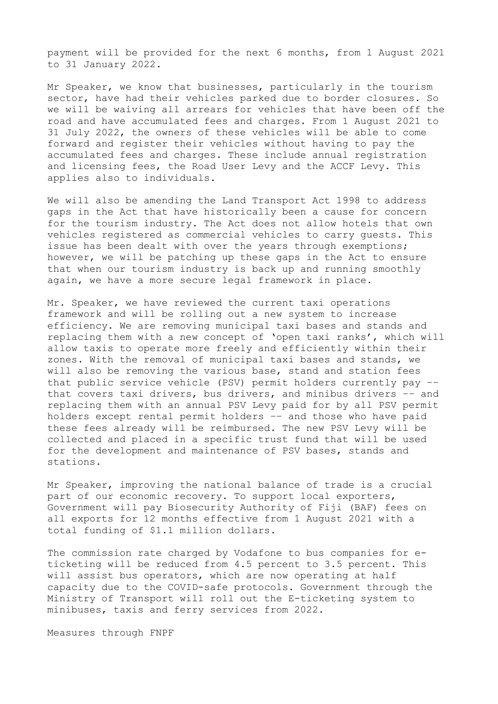payment will be provided for the next 6 months, from 1 August 2021 to 31 January 2022.

Mr Speaker, we know that businesses, particularly in the tourism sector, have had their vehicles parked due to border closures. So we will be waiving all arrears for vehicles that have been off the road and have accumulated fees and charges. From 1 August 2021 to 31 July 2022, the owners of these vehicles will be able to come forward and register their vehicles without having to pay the accumulated fees and charges. These include annual registration and licensing fees, the Road User Levy and the ACCF Levy. This applies also to individuals.

We will also be amending the Land Transport Act 1998 to address gaps in the Act that have historically been a cause for concern for the tourism industry. The Act does not allow hotels that own vehicles registered as commercial vehicles to carry guests. This issue has been dealt with over the years through exemptions; however, we will be patching up these gaps in the Act to ensure that when our tourism industry is back up and running smoothly again, we have a more secure legal framework in place.

Mr. Speaker, we have reviewed the current taxi operations framework and will be rolling out a new system to increase efficiency. We are removing municipal taxi bases and stands and replacing them with a new concept of 'open taxi ranks', which will allow taxis to operate more freely and efficiently within their zones. With the removal of municipal taxi bases and stands, we will also be removing the various base, stand and station fees that public service vehicle (PSV) permit holders currently pay –– that covers taxi drivers, bus drivers, and minibus drivers –– and replacing them with an annual PSV Levy paid for by all PSV permit holders except rental permit holders –– and those who have paid these fees already will be reimbursed. The new PSV Levy will be collected and placed in a specific trust fund that will be used for the development and maintenance of PSV bases, stands and stations.

Mr Speaker, improving the national balance of trade is a crucial part of our economic recovery. To support local exporters, Government will pay Biosecurity Authority of Fiji (BAF) fees on all exports for 12 months effective from 1 August 2021 with a total funding of \$1.1 million dollars.

The commission rate charged by Vodafone to bus companies for eticketing will be reduced from 4.5 percent to 3.5 percent. This will assist bus operators, which are now operating at half capacity due to the COVID-safe protocols. Government through the Ministry of Transport will roll out the E-ticketing system to minibuses, taxis and ferry services from 2022.

Measures through FNPF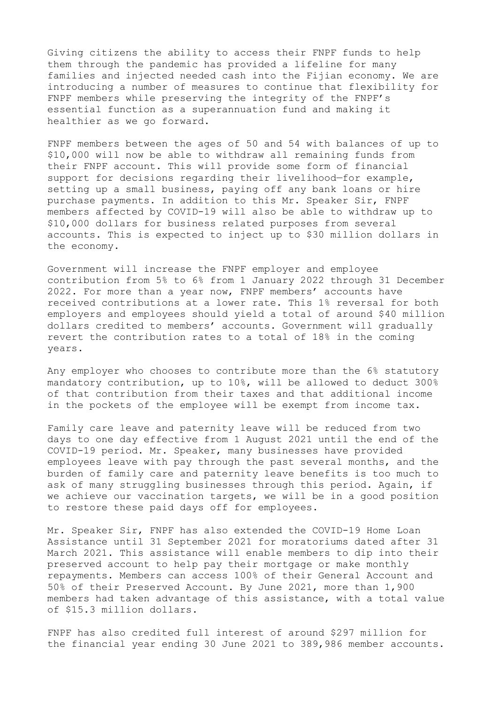Giving citizens the ability to access their FNPF funds to help them through the pandemic has provided a lifeline for many families and injected needed cash into the Fijian economy. We are introducing a number of measures to continue that flexibility for FNPF members while preserving the integrity of the FNPF's essential function as a superannuation fund and making it healthier as we go forward.

FNPF members between the ages of 50 and 54 with balances of up to \$10,000 will now be able to withdraw all remaining funds from their FNPF account. This will provide some form of financial support for decisions regarding their livelihood—for example, setting up a small business, paying off any bank loans or hire purchase payments. In addition to this Mr. Speaker Sir, FNPF members affected by COVID-19 will also be able to withdraw up to \$10,000 dollars for business related purposes from several accounts. This is expected to inject up to \$30 million dollars in the economy.

Government will increase the FNPF employer and employee contribution from 5% to 6% from 1 January 2022 through 31 December 2022. For more than a year now, FNPF members' accounts have received contributions at a lower rate. This 1% reversal for both employers and employees should yield a total of around \$40 million dollars credited to members' accounts. Government will gradually revert the contribution rates to a total of 18% in the coming years.

Any employer who chooses to contribute more than the 6% statutory mandatory contribution, up to 10%, will be allowed to deduct 300% of that contribution from their taxes and that additional income in the pockets of the employee will be exempt from income tax.

Family care leave and paternity leave will be reduced from two days to one day effective from 1 August 2021 until the end of the COVID-19 period. Mr. Speaker, many businesses have provided employees leave with pay through the past several months, and the burden of family care and paternity leave benefits is too much to ask of many struggling businesses through this period. Again, if we achieve our vaccination targets, we will be in a good position to restore these paid days off for employees.

Mr. Speaker Sir, FNPF has also extended the COVID-19 Home Loan Assistance until 31 September 2021 for moratoriums dated after 31 March 2021. This assistance will enable members to dip into their preserved account to help pay their mortgage or make monthly repayments. Members can access 100% of their General Account and 50% of their Preserved Account. By June 2021, more than 1,900 members had taken advantage of this assistance, with a total value of \$15.3 million dollars.

FNPF has also credited full interest of around \$297 million for the financial year ending 30 June 2021 to 389,986 member accounts.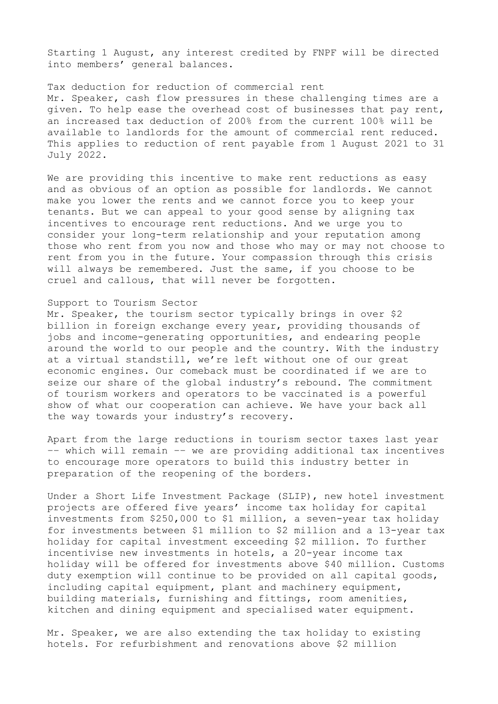Starting 1 August, any interest credited by FNPF will be directed into members' general balances.

Tax deduction for reduction of commercial rent Mr. Speaker, cash flow pressures in these challenging times are a given. To help ease the overhead cost of businesses that pay rent, an increased tax deduction of 200% from the current 100% will be available to landlords for the amount of commercial rent reduced. This applies to reduction of rent payable from 1 August 2021 to 31 July 2022.

We are providing this incentive to make rent reductions as easy and as obvious of an option as possible for landlords. We cannot make you lower the rents and we cannot force you to keep your tenants. But we can appeal to your good sense by aligning tax incentives to encourage rent reductions. And we urge you to consider your long-term relationship and your reputation among those who rent from you now and those who may or may not choose to rent from you in the future. Your compassion through this crisis will always be remembered. Just the same, if you choose to be cruel and callous, that will never be forgotten.

### Support to Tourism Sector

Mr. Speaker, the tourism sector typically brings in over \$2 billion in foreign exchange every year, providing thousands of jobs and income-generating opportunities, and endearing people around the world to our people and the country. With the industry at a virtual standstill, we're left without one of our great economic engines. Our comeback must be coordinated if we are to seize our share of the global industry's rebound. The commitment of tourism workers and operators to be vaccinated is a powerful show of what our cooperation can achieve. We have your back all the way towards your industry's recovery.

Apart from the large reductions in tourism sector taxes last year –– which will remain –– we are providing additional tax incentives to encourage more operators to build this industry better in preparation of the reopening of the borders.

Under a Short Life Investment Package (SLIP), new hotel investment projects are offered five years' income tax holiday for capital investments from \$250,000 to \$1 million, a seven-year tax holiday for investments between \$1 million to \$2 million and a 13-year tax holiday for capital investment exceeding \$2 million. To further incentivise new investments in hotels, a 20-year income tax holiday will be offered for investments above \$40 million. Customs duty exemption will continue to be provided on all capital goods, including capital equipment, plant and machinery equipment, building materials, furnishing and fittings, room amenities, kitchen and dining equipment and specialised water equipment.

Mr. Speaker, we are also extending the tax holiday to existing hotels. For refurbishment and renovations above \$2 million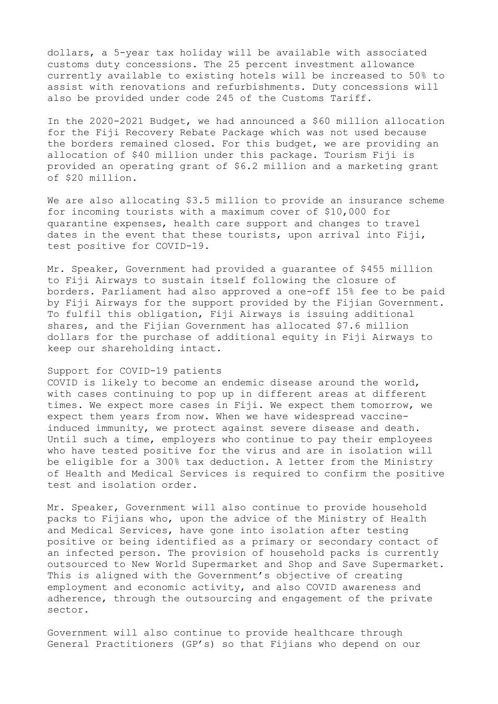dollars, a 5-year tax holiday will be available with associated customs duty concessions. The 25 percent investment allowance currently available to existing hotels will be increased to 50% to assist with renovations and refurbishments. Duty concessions will also be provided under code 245 of the Customs Tariff.

In the 2020-2021 Budget, we had announced a \$60 million allocation for the Fiji Recovery Rebate Package which was not used because the borders remained closed. For this budget, we are providing an allocation of \$40 million under this package. Tourism Fiji is provided an operating grant of \$6.2 million and a marketing grant of \$20 million.

We are also allocating \$3.5 million to provide an insurance scheme for incoming tourists with a maximum cover of \$10,000 for quarantine expenses, health care support and changes to travel dates in the event that these tourists, upon arrival into Fiji, test positive for COVID-19.

Mr. Speaker, Government had provided a guarantee of \$455 million to Fiji Airways to sustain itself following the closure of borders. Parliament had also approved a one-off 15% fee to be paid by Fiji Airways for the support provided by the Fijian Government. To fulfil this obligation, Fiji Airways is issuing additional shares, and the Fijian Government has allocated \$7.6 million dollars for the purchase of additional equity in Fiji Airways to keep our shareholding intact.

## Support for COVID-19 patients

COVID is likely to become an endemic disease around the world, with cases continuing to pop up in different areas at different times. We expect more cases in Fiji. We expect them tomorrow, we expect them years from now. When we have widespread vaccineinduced immunity, we protect against severe disease and death. Until such a time, employers who continue to pay their employees who have tested positive for the virus and are in isolation will be eligible for a 300% tax deduction. A letter from the Ministry of Health and Medical Services is required to confirm the positive test and isolation order.

Mr. Speaker, Government will also continue to provide household packs to Fijians who, upon the advice of the Ministry of Health and Medical Services, have gone into isolation after testing positive or being identified as a primary or secondary contact of an infected person. The provision of household packs is currently outsourced to New World Supermarket and Shop and Save Supermarket. This is aligned with the Government's objective of creating employment and economic activity, and also COVID awareness and adherence, through the outsourcing and engagement of the private sector.

Government will also continue to provide healthcare through General Practitioners (GP's) so that Fijians who depend on our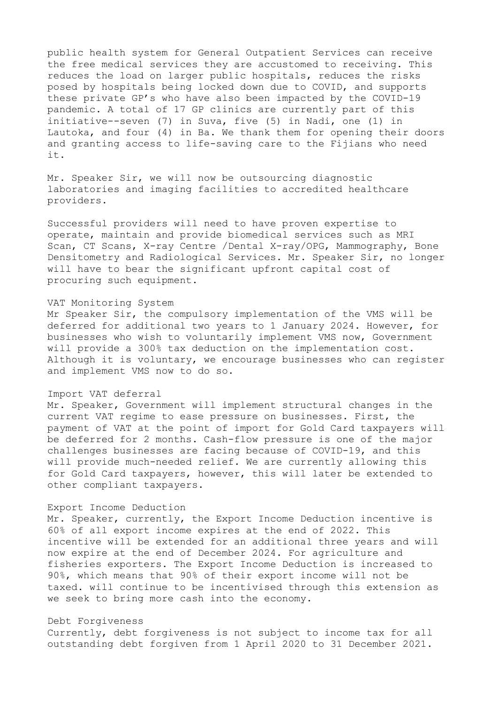public health system for General Outpatient Services can receive the free medical services they are accustomed to receiving. This reduces the load on larger public hospitals, reduces the risks posed by hospitals being locked down due to COVID, and supports these private GP's who have also been impacted by the COVID-19 pandemic. A total of 17 GP clinics are currently part of this initiative--seven (7) in Suva, five (5) in Nadi, one (1) in Lautoka, and four (4) in Ba. We thank them for opening their doors and granting access to life-saving care to the Fijians who need it.

Mr. Speaker Sir, we will now be outsourcing diagnostic laboratories and imaging facilities to accredited healthcare providers.

Successful providers will need to have proven expertise to operate, maintain and provide biomedical services such as MRI Scan, CT Scans, X-ray Centre /Dental X-ray/OPG, Mammography, Bone Densitometry and Radiological Services. Mr. Speaker Sir, no longer will have to bear the significant upfront capital cost of procuring such equipment.

### VAT Monitoring System

Mr Speaker Sir, the compulsory implementation of the VMS will be deferred for additional two years to 1 January 2024. However, for businesses who wish to voluntarily implement VMS now, Government will provide a 300% tax deduction on the implementation cost. Although it is voluntary, we encourage businesses who can register and implement VMS now to do so.

### Import VAT deferral

Mr. Speaker, Government will implement structural changes in the current VAT regime to ease pressure on businesses. First, the payment of VAT at the point of import for Gold Card taxpayers will be deferred for 2 months. Cash-flow pressure is one of the major challenges businesses are facing because of COVID-19, and this will provide much-needed relief. We are currently allowing this for Gold Card taxpayers, however, this will later be extended to other compliant taxpayers.

## Export Income Deduction

Mr. Speaker, currently, the Export Income Deduction incentive is 60% of all export income expires at the end of 2022. This incentive will be extended for an additional three years and will now expire at the end of December 2024. For agriculture and fisheries exporters. The Export Income Deduction is increased to 90%, which means that 90% of their export income will not be taxed. will continue to be incentivised through this extension as we seek to bring more cash into the economy.

## Debt Forgiveness

Currently, debt forgiveness is not subject to income tax for all outstanding debt forgiven from 1 April 2020 to 31 December 2021.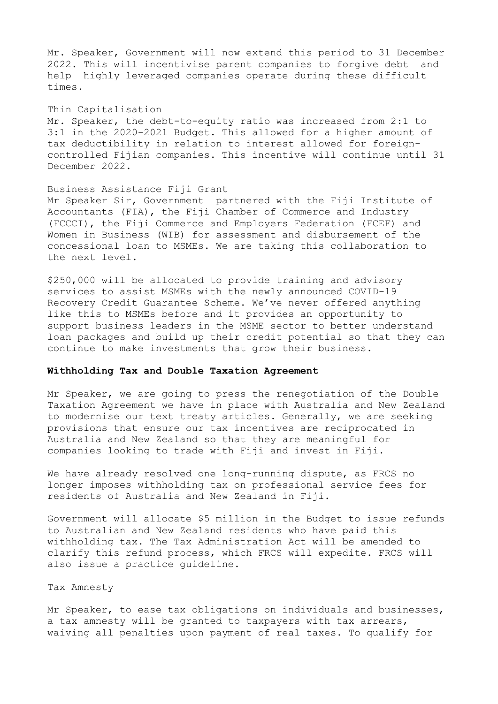Mr. Speaker, Government will now extend this period to 31 December 2022. This will incentivise parent companies to forgive debt and help highly leveraged companies operate during these difficult times.

#### Thin Capitalisation

Mr. Speaker, the debt-to-equity ratio was increased from 2:1 to 3:1 in the 2020-2021 Budget. This allowed for a higher amount of tax deductibility in relation to interest allowed for foreigncontrolled Fijian companies. This incentive will continue until 31 December 2022.

### Business Assistance Fiji Grant

Mr Speaker Sir, Government partnered with the Fiji Institute of Accountants (FIA), the Fiji Chamber of Commerce and Industry (FCCCI), the Fiji Commerce and Employers Federation (FCEF) and Women in Business (WIB) for assessment and disbursement of the concessional loan to MSMEs. We are taking this collaboration to the next level.

\$250,000 will be allocated to provide training and advisory services to assist MSMEs with the newly announced COVID-19 Recovery Credit Guarantee Scheme. We've never offered anything like this to MSMEs before and it provides an opportunity to support business leaders in the MSME sector to better understand loan packages and build up their credit potential so that they can continue to make investments that grow their business.

## **Withholding Tax and Double Taxation Agreement**

Mr Speaker, we are going to press the renegotiation of the Double Taxation Agreement we have in place with Australia and New Zealand to modernise our text treaty articles. Generally, we are seeking provisions that ensure our tax incentives are reciprocated in Australia and New Zealand so that they are meaningful for companies looking to trade with Fiji and invest in Fiji.

We have already resolved one long-running dispute, as FRCS no longer imposes withholding tax on professional service fees for residents of Australia and New Zealand in Fiji.

Government will allocate \$5 million in the Budget to issue refunds to Australian and New Zealand residents who have paid this withholding tax. The Tax Administration Act will be amended to clarify this refund process, which FRCS will expedite. FRCS will also issue a practice guideline.

## Tax Amnesty

Mr Speaker, to ease tax obligations on individuals and businesses, a tax amnesty will be granted to taxpayers with tax arrears, waiving all penalties upon payment of real taxes. To qualify for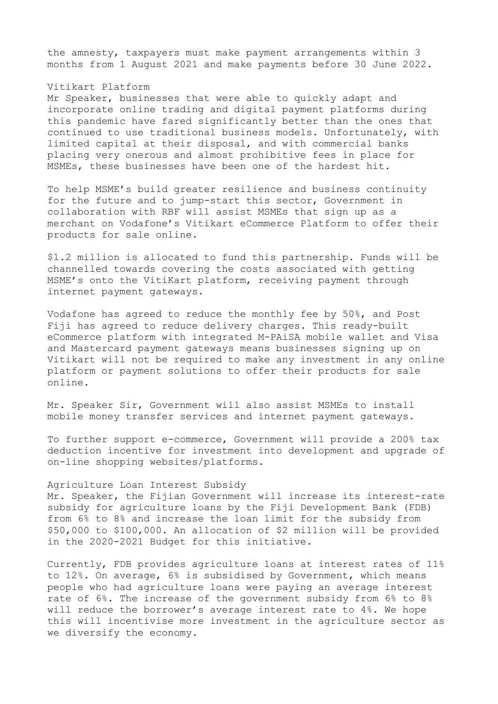the amnesty, taxpayers must make payment arrangements within 3 months from 1 August 2021 and make payments before 30 June 2022.

### Vitikart Platform

Mr Speaker, businesses that were able to quickly adapt and incorporate online trading and digital payment platforms during this pandemic have fared significantly better than the ones that continued to use traditional business models. Unfortunately, with limited capital at their disposal, and with commercial banks placing very onerous and almost prohibitive fees in place for MSMEs, these businesses have been one of the hardest hit.

To help MSME's build greater resilience and business continuity for the future and to jump-start this sector, Government in collaboration with RBF will assist MSMEs that sign up as a merchant on Vodafone's Vitikart eCommerce Platform to offer their products for sale online.

\$1.2 million is allocated to fund this partnership. Funds will be channelled towards covering the costs associated with getting MSME's onto the VitiKart platform, receiving payment through internet payment gateways.

Vodafone has agreed to reduce the monthly fee by 50%, and Post Fiji has agreed to reduce delivery charges. This ready-built eCommerce platform with integrated M-PAiSA mobile wallet and Visa and Mastercard payment gateways means businesses signing up on Vitikart will not be required to make any investment in any online platform or payment solutions to offer their products for sale online.

Mr. Speaker Sir, Government will also assist MSMEs to install mobile money transfer services and internet payment gateways.

To further support e-commerce, Government will provide a 200% tax deduction incentive for investment into development and upgrade of on-line shopping websites/platforms.

### Agriculture Loan Interest Subsidy

Mr. Speaker, the Fijian Government will increase its interest-rate subsidy for agriculture loans by the Fiji Development Bank (FDB) from 6% to 8% and increase the loan limit for the subsidy from \$50,000 to \$100,000. An allocation of \$2 million will be provided in the 2020-2021 Budget for this initiative.

Currently, FDB provides agriculture loans at interest rates of 11% to 12%. On average, 6% is subsidised by Government, which means people who had agriculture loans were paying an average interest rate of 6%. The increase of the government subsidy from 6% to 8% will reduce the borrower's average interest rate to 4%. We hope this will incentivise more investment in the agriculture sector as we diversify the economy.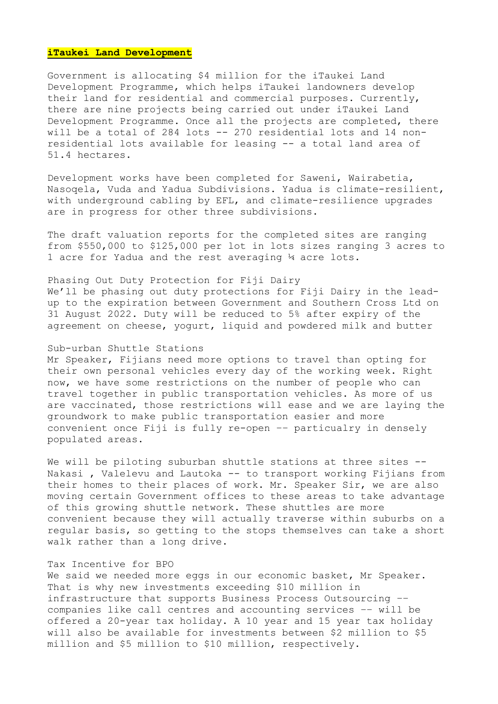### **iTaukei Land Development**

Government is allocating \$4 million for the iTaukei Land Development Programme, which helps iTaukei landowners develop their land for residential and commercial purposes. Currently, there are nine projects being carried out under iTaukei Land Development Programme. Once all the projects are completed, there will be a total of 284 lots -- 270 residential lots and 14 nonresidential lots available for leasing -- a total land area of 51.4 hectares.

Development works have been completed for Saweni, Wairabetia, Nasoqela, Vuda and Yadua Subdivisions. Yadua is climate-resilient, with underground cabling by EFL, and climate-resilience upgrades are in progress for other three subdivisions.

The draft valuation reports for the completed sites are ranging from \$550,000 to \$125,000 per lot in lots sizes ranging 3 acres to 1 acre for Yadua and the rest averaging ¼ acre lots.

Phasing Out Duty Protection for Fiji Dairy We'll be phasing out duty protections for Fiji Dairy in the leadup to the expiration between Government and Southern Cross Ltd on 31 August 2022. Duty will be reduced to 5% after expiry of the agreement on cheese, yogurt, liquid and powdered milk and butter

## Sub-urban Shuttle Stations

Mr Speaker, Fijians need more options to travel than opting for their own personal vehicles every day of the working week. Right now, we have some restrictions on the number of people who can travel together in public transportation vehicles. As more of us are vaccinated, those restrictions will ease and we are laying the groundwork to make public transportation easier and more convenient once Fiji is fully re-open –– particualry in densely populated areas.

We will be piloting suburban shuttle stations at three sites --Nakasi, Valelevu and Lautoka -- to transport working Fijians from their homes to their places of work. Mr. Speaker Sir, we are also moving certain Government offices to these areas to take advantage of this growing shuttle network. These shuttles are more convenient because they will actually traverse within suburbs on a regular basis, so getting to the stops themselves can take a short walk rather than a long drive.

### Tax Incentive for BPO

We said we needed more eggs in our economic basket, Mr Speaker. That is why new investments exceeding \$10 million in infrastructure that supports Business Process Outsourcing –– companies like call centres and accounting services –– will be offered a 20-year tax holiday. A 10 year and 15 year tax holiday will also be available for investments between \$2 million to \$5 million and \$5 million to \$10 million, respectively.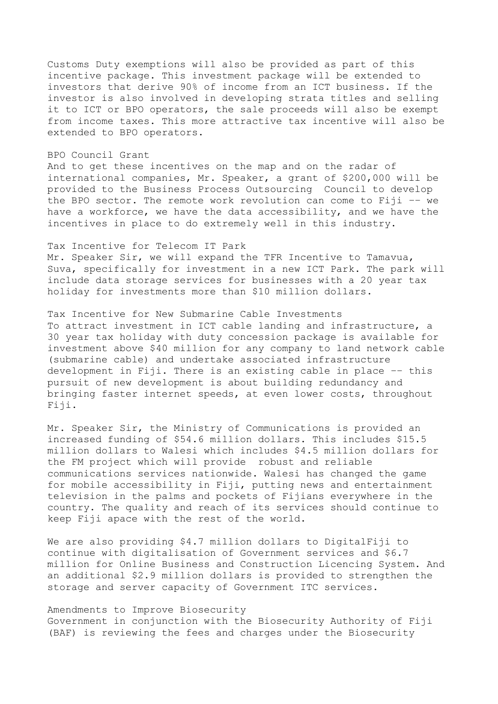Customs Duty exemptions will also be provided as part of this incentive package. This investment package will be extended to investors that derive 90% of income from an ICT business. If the investor is also involved in developing strata titles and selling it to ICT or BPO operators, the sale proceeds will also be exempt from income taxes. This more attractive tax incentive will also be extended to BPO operators.

#### BPO Council Grant

And to get these incentives on the map and on the radar of international companies, Mr. Speaker, a grant of \$200,000 will be provided to the Business Process Outsourcing Council to develop the BPO sector. The remote work revolution can come to Fiji –– we have a workforce, we have the data accessibility, and we have the incentives in place to do extremely well in this industry.

### Tax Incentive for Telecom IT Park

Mr. Speaker Sir, we will expand the TFR Incentive to Tamavua, Suva, specifically for investment in a new ICT Park. The park will include data storage services for businesses with a 20 year tax holiday for investments more than \$10 million dollars.

#### Tax Incentive for New Submarine Cable Investments

To attract investment in ICT cable landing and infrastructure, a 30 year tax holiday with duty concession package is available for investment above \$40 million for any company to land network cable (submarine cable) and undertake associated infrastructure development in Fiji. There is an existing cable in place –– this pursuit of new development is about building redundancy and bringing faster internet speeds, at even lower costs, throughout Fiji.

Mr. Speaker Sir, the Ministry of Communications is provided an increased funding of \$54.6 million dollars. This includes \$15.5 million dollars to Walesi which includes \$4.5 million dollars for the FM project which will provide robust and reliable communications services nationwide. Walesi has changed the game for mobile accessibility in Fiji, putting news and entertainment television in the palms and pockets of Fijians everywhere in the country. The quality and reach of its services should continue to keep Fiji apace with the rest of the world.

We are also providing \$4.7 million dollars to DigitalFiji to continue with digitalisation of Government services and \$6.7 million for Online Business and Construction Licencing System. And an additional \$2.9 million dollars is provided to strengthen the storage and server capacity of Government ITC services.

# Amendments to Improve Biosecurity Government in conjunction with the Biosecurity Authority of Fiji (BAF) is reviewing the fees and charges under the Biosecurity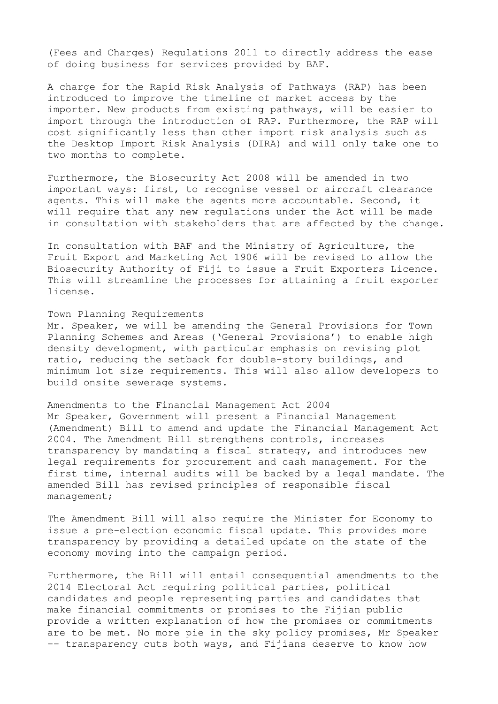(Fees and Charges) Regulations 2011 to directly address the ease of doing business for services provided by BAF.

A charge for the Rapid Risk Analysis of Pathways (RAP) has been introduced to improve the timeline of market access by the importer. New products from existing pathways, will be easier to import through the introduction of RAP. Furthermore, the RAP will cost significantly less than other import risk analysis such as the Desktop Import Risk Analysis (DIRA) and will only take one to two months to complete.

Furthermore, the Biosecurity Act 2008 will be amended in two important ways: first, to recognise vessel or aircraft clearance agents. This will make the agents more accountable. Second, it will require that any new regulations under the Act will be made in consultation with stakeholders that are affected by the change.

In consultation with BAF and the Ministry of Agriculture, the Fruit Export and Marketing Act 1906 will be revised to allow the Biosecurity Authority of Fiji to issue a Fruit Exporters Licence. This will streamline the processes for attaining a fruit exporter license.

#### Town Planning Requirements

Mr. Speaker, we will be amending the General Provisions for Town Planning Schemes and Areas ('General Provisions') to enable high density development, with particular emphasis on revising plot ratio, reducing the setback for double-story buildings, and minimum lot size requirements. This will also allow developers to build onsite sewerage systems.

### Amendments to the Financial Management Act 2004

Mr Speaker, Government will present a Financial Management (Amendment) Bill to amend and update the Financial Management Act 2004. The Amendment Bill strengthens controls, increases transparency by mandating a fiscal strategy, and introduces new legal requirements for procurement and cash management. For the first time, internal audits will be backed by a legal mandate. The amended Bill has revised principles of responsible fiscal management;

The Amendment Bill will also require the Minister for Economy to issue a pre-election economic fiscal update. This provides more transparency by providing a detailed update on the state of the economy moving into the campaign period.

Furthermore, the Bill will entail consequential amendments to the 2014 Electoral Act requiring political parties, political candidates and people representing parties and candidates that make financial commitments or promises to the Fijian public provide a written explanation of how the promises or commitments are to be met. No more pie in the sky policy promises, Mr Speaker –– transparency cuts both ways, and Fijians deserve to know how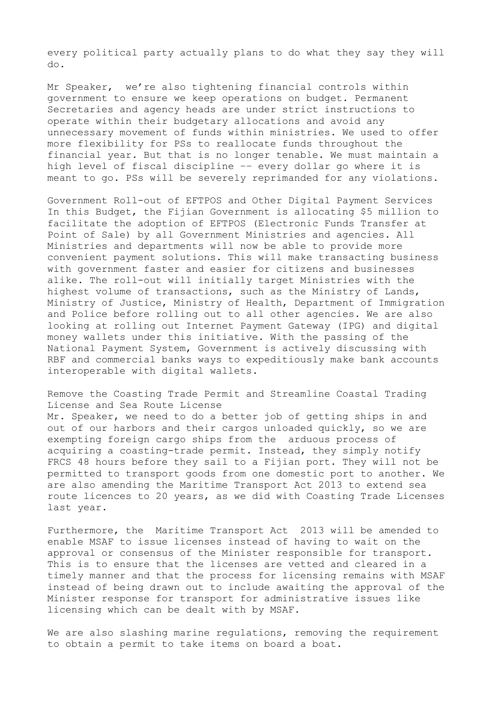every political party actually plans to do what they say they will do.

Mr Speaker, we're also tightening financial controls within government to ensure we keep operations on budget. Permanent Secretaries and agency heads are under strict instructions to operate within their budgetary allocations and avoid any unnecessary movement of funds within ministries. We used to offer more flexibility for PSs to reallocate funds throughout the financial year. But that is no longer tenable. We must maintain a high level of fiscal discipline –– every dollar go where it is meant to go. PSs will be severely reprimanded for any violations.

Government Roll-out of EFTPOS and Other Digital Payment Services In this Budget, the Fijian Government is allocating \$5 million to facilitate the adoption of EFTPOS (Electronic Funds Transfer at Point of Sale) by all Government Ministries and agencies. All Ministries and departments will now be able to provide more convenient payment solutions. This will make transacting business with government faster and easier for citizens and businesses alike. The roll-out will initially target Ministries with the highest volume of transactions, such as the Ministry of Lands, Ministry of Justice, Ministry of Health, Department of Immigration and Police before rolling out to all other agencies. We are also looking at rolling out Internet Payment Gateway (IPG) and digital money wallets under this initiative. With the passing of the National Payment System, Government is actively discussing with RBF and commercial banks ways to expeditiously make bank accounts interoperable with digital wallets.

# Remove the Coasting Trade Permit and Streamline Coastal Trading License and Sea Route License

Mr. Speaker, we need to do a better job of getting ships in and out of our harbors and their cargos unloaded quickly, so we are exempting foreign cargo ships from the arduous process of acquiring a coasting-trade permit. Instead, they simply notify FRCS 48 hours before they sail to a Fijian port. They will not be permitted to transport goods from one domestic port to another. We are also amending the Maritime Transport Act 2013 to extend sea route licences to 20 years, as we did with Coasting Trade Licenses last year.

Furthermore, the Maritime Transport Act 2013 will be amended to enable MSAF to issue licenses instead of having to wait on the approval or consensus of the Minister responsible for transport. This is to ensure that the licenses are vetted and cleared in a timely manner and that the process for licensing remains with MSAF instead of being drawn out to include awaiting the approval of the Minister response for transport for administrative issues like licensing which can be dealt with by MSAF.

We are also slashing marine regulations, removing the requirement to obtain a permit to take items on board a boat.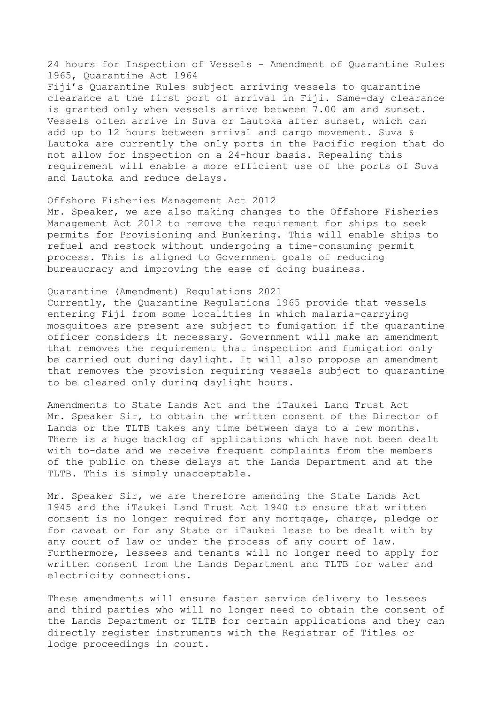24 hours for Inspection of Vessels - Amendment of Quarantine Rules 1965, Quarantine Act 1964 Fiji's Quarantine Rules subject arriving vessels to quarantine clearance at the first port of arrival in Fiji. Same-day clearance is granted only when vessels arrive between 7.00 am and sunset. Vessels often arrive in Suva or Lautoka after sunset, which can add up to 12 hours between arrival and cargo movement. Suva & Lautoka are currently the only ports in the Pacific region that do not allow for inspection on a 24-hour basis. Repealing this requirement will enable a more efficient use of the ports of Suva and Lautoka and reduce delays.

Offshore Fisheries Management Act 2012 Mr. Speaker, we are also making changes to the Offshore Fisheries Management Act 2012 to remove the requirement for ships to seek permits for Provisioning and Bunkering. This will enable ships to refuel and restock without undergoing a time-consuming permit process. This is aligned to Government goals of reducing bureaucracy and improving the ease of doing business.

# Quarantine (Amendment) Regulations 2021

Currently, the Quarantine Regulations 1965 provide that vessels entering Fiji from some localities in which malaria-carrying mosquitoes are present are subject to fumigation if the quarantine officer considers it necessary. Government will make an amendment that removes the requirement that inspection and fumigation only be carried out during daylight. It will also propose an amendment that removes the provision requiring vessels subject to quarantine to be cleared only during daylight hours.

Amendments to State Lands Act and the iTaukei Land Trust Act Mr. Speaker Sir, to obtain the written consent of the Director of Lands or the TLTB takes any time between days to a few months. There is a huge backlog of applications which have not been dealt with to-date and we receive frequent complaints from the members of the public on these delays at the Lands Department and at the TLTB. This is simply unacceptable.

Mr. Speaker Sir, we are therefore amending the State Lands Act 1945 and the iTaukei Land Trust Act 1940 to ensure that written consent is no longer required for any mortgage, charge, pledge or for caveat or for any State or iTaukei lease to be dealt with by any court of law or under the process of any court of law. Furthermore, lessees and tenants will no longer need to apply for written consent from the Lands Department and TLTB for water and electricity connections.

These amendments will ensure faster service delivery to lessees and third parties who will no longer need to obtain the consent of the Lands Department or TLTB for certain applications and they can directly register instruments with the Registrar of Titles or lodge proceedings in court.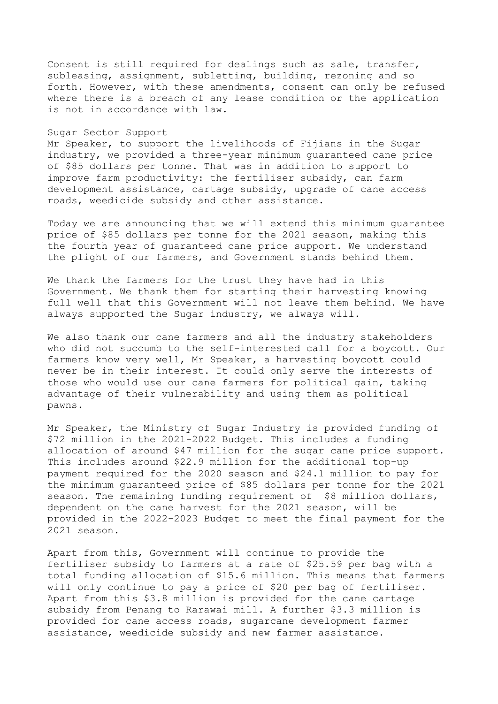Consent is still required for dealings such as sale, transfer, subleasing, assignment, subletting, building, rezoning and so forth. However, with these amendments, consent can only be refused where there is a breach of any lease condition or the application is not in accordance with law.

### Sugar Sector Support

Mr Speaker, to support the livelihoods of Fijians in the Sugar industry, we provided a three-year minimum guaranteed cane price of \$85 dollars per tonne. That was in addition to support to improve farm productivity: the fertiliser subsidy, can farm development assistance, cartage subsidy, upgrade of cane access roads, weedicide subsidy and other assistance.

Today we are announcing that we will extend this minimum guarantee price of \$85 dollars per tonne for the 2021 season, making this the fourth year of guaranteed cane price support. We understand the plight of our farmers, and Government stands behind them.

We thank the farmers for the trust they have had in this Government. We thank them for starting their harvesting knowing full well that this Government will not leave them behind. We have always supported the Sugar industry, we always will.

We also thank our cane farmers and all the industry stakeholders who did not succumb to the self-interested call for a boycott. Our farmers know very well, Mr Speaker, a harvesting boycott could never be in their interest. It could only serve the interests of those who would use our cane farmers for political gain, taking advantage of their vulnerability and using them as political pawns.

Mr Speaker, the Ministry of Sugar Industry is provided funding of \$72 million in the 2021-2022 Budget. This includes a funding allocation of around \$47 million for the sugar cane price support. This includes around \$22.9 million for the additional top-up payment required for the 2020 season and \$24.1 million to pay for the minimum guaranteed price of \$85 dollars per tonne for the 2021 season. The remaining funding requirement of \$8 million dollars, dependent on the cane harvest for the 2021 season, will be provided in the 2022-2023 Budget to meet the final payment for the 2021 season.

Apart from this, Government will continue to provide the fertiliser subsidy to farmers at a rate of \$25.59 per bag with a total funding allocation of \$15.6 million. This means that farmers will only continue to pay a price of \$20 per bag of fertiliser. Apart from this \$3.8 million is provided for the cane cartage subsidy from Penang to Rarawai mill. A further \$3.3 million is provided for cane access roads, sugarcane development farmer assistance, weedicide subsidy and new farmer assistance.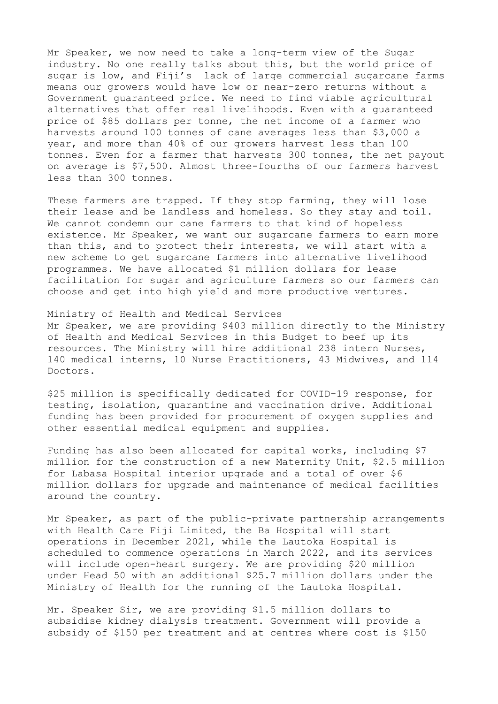Mr Speaker, we now need to take a long-term view of the Sugar industry. No one really talks about this, but the world price of sugar is low, and Fiji's lack of large commercial sugarcane farms means our growers would have low or near-zero returns without a Government guaranteed price. We need to find viable agricultural alternatives that offer real livelihoods. Even with a guaranteed price of \$85 dollars per tonne, the net income of a farmer who harvests around 100 tonnes of cane averages less than \$3,000 a year, and more than 40% of our growers harvest less than 100 tonnes. Even for a farmer that harvests 300 tonnes, the net payout on average is \$7,500. Almost three-fourths of our farmers harvest less than 300 tonnes.

These farmers are trapped. If they stop farming, they will lose their lease and be landless and homeless. So they stay and toil. We cannot condemn our cane farmers to that kind of hopeless existence. Mr Speaker, we want our sugarcane farmers to earn more than this, and to protect their interests, we will start with a new scheme to get sugarcane farmers into alternative livelihood programmes. We have allocated \$1 million dollars for lease facilitation for sugar and agriculture farmers so our farmers can choose and get into high yield and more productive ventures.

Ministry of Health and Medical Services Mr Speaker, we are providing \$403 million directly to the Ministry of Health and Medical Services in this Budget to beef up its resources. The Ministry will hire additional 238 intern Nurses, 140 medical interns, 10 Nurse Practitioners, 43 Midwives, and 114 Doctors.

\$25 million is specifically dedicated for COVID-19 response, for testing, isolation, quarantine and vaccination drive. Additional funding has been provided for procurement of oxygen supplies and other essential medical equipment and supplies.

Funding has also been allocated for capital works, including \$7 million for the construction of a new Maternity Unit, \$2.5 million for Labasa Hospital interior upgrade and a total of over \$6 million dollars for upgrade and maintenance of medical facilities around the country.

Mr Speaker, as part of the public-private partnership arrangements with Health Care Fiji Limited, the Ba Hospital will start operations in December 2021, while the Lautoka Hospital is scheduled to commence operations in March 2022, and its services will include open-heart surgery. We are providing \$20 million under Head 50 with an additional \$25.7 million dollars under the Ministry of Health for the running of the Lautoka Hospital.

Mr. Speaker Sir, we are providing \$1.5 million dollars to subsidise kidney dialysis treatment. Government will provide a subsidy of \$150 per treatment and at centres where cost is \$150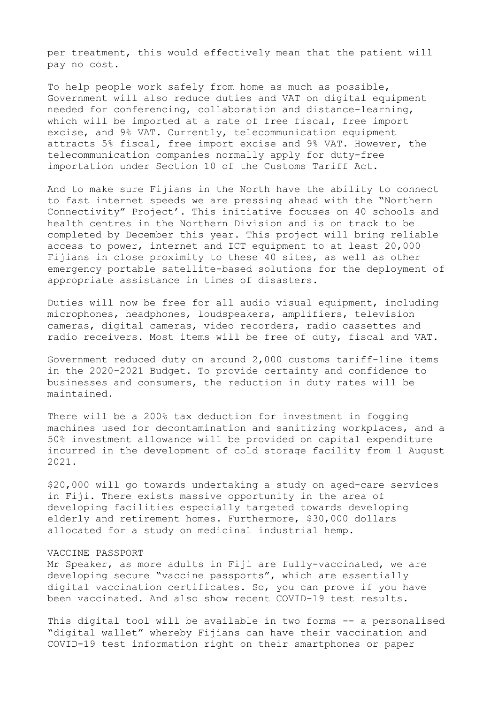per treatment, this would effectively mean that the patient will pay no cost.

To help people work safely from home as much as possible, Government will also reduce duties and VAT on digital equipment needed for conferencing, collaboration and distance-learning, which will be imported at a rate of free fiscal, free import excise, and 9% VAT. Currently, telecommunication equipment attracts 5% fiscal, free import excise and 9% VAT. However, the telecommunication companies normally apply for duty-free importation under Section 10 of the Customs Tariff Act.

And to make sure Fijians in the North have the ability to connect to fast internet speeds we are pressing ahead with the "Northern Connectivity" Project'. This initiative focuses on 40 schools and health centres in the Northern Division and is on track to be completed by December this year. This project will bring reliable access to power, internet and ICT equipment to at least 20,000 Fijians in close proximity to these 40 sites, as well as other emergency portable satellite-based solutions for the deployment of appropriate assistance in times of disasters.

Duties will now be free for all audio visual equipment, including microphones, headphones, loudspeakers, amplifiers, television cameras, digital cameras, video recorders, radio cassettes and radio receivers. Most items will be free of duty, fiscal and VAT.

Government reduced duty on around 2,000 customs tariff-line items in the 2020-2021 Budget. To provide certainty and confidence to businesses and consumers, the reduction in duty rates will be maintained.

There will be a 200% tax deduction for investment in fogging machines used for decontamination and sanitizing workplaces, and a 50% investment allowance will be provided on capital expenditure incurred in the development of cold storage facility from 1 August 2021.

\$20,000 will go towards undertaking a study on aged-care services in Fiji. There exists massive opportunity in the area of developing facilities especially targeted towards developing elderly and retirement homes. Furthermore, \$30,000 dollars allocated for a study on medicinal industrial hemp.

### VACCINE PASSPORT

Mr Speaker, as more adults in Fiji are fully-vaccinated, we are developing secure "vaccine passports", which are essentially digital vaccination certificates. So, you can prove if you have been vaccinated. And also show recent COVID-19 test results.

This digital tool will be available in two forms -- a personalised "digital wallet" whereby Fijians can have their vaccination and COVID-19 test information right on their smartphones or paper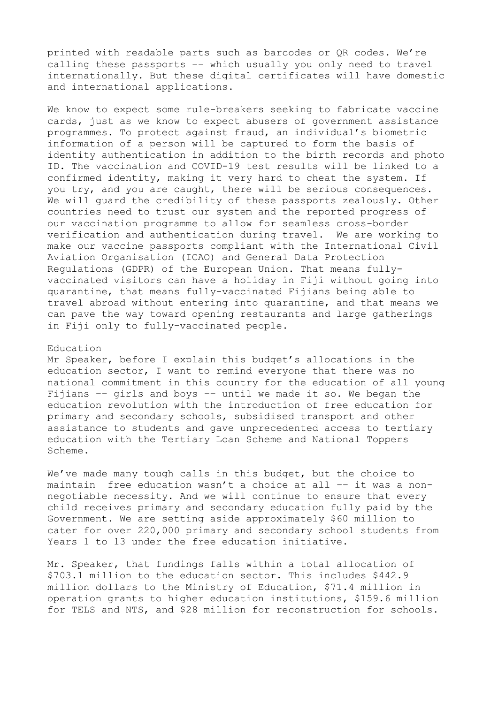printed with readable parts such as barcodes or QR codes. We're calling these passports –– which usually you only need to travel internationally. But these digital certificates will have domestic and international applications.

We know to expect some rule-breakers seeking to fabricate vaccine cards, just as we know to expect abusers of government assistance programmes. To protect against fraud, an individual's biometric information of a person will be captured to form the basis of identity authentication in addition to the birth records and photo ID. The vaccination and COVID-19 test results will be linked to a confirmed identity, making it very hard to cheat the system. If you try, and you are caught, there will be serious consequences. We will guard the credibility of these passports zealously. Other countries need to trust our system and the reported progress of our vaccination programme to allow for seamless cross-border verification and authentication during travel. We are working to make our vaccine passports compliant with the International Civil Aviation Organisation (ICAO) and General Data Protection Regulations (GDPR) of the European Union. That means fullyvaccinated visitors can have a holiday in Fiji without going into quarantine, that means fully-vaccinated Fijians being able to travel abroad without entering into quarantine, and that means we can pave the way toward opening restaurants and large gatherings in Fiji only to fully-vaccinated people.

#### Education

Mr Speaker, before I explain this budget's allocations in the education sector, I want to remind everyone that there was no national commitment in this country for the education of all young Fijians –– girls and boys –– until we made it so. We began the education revolution with the introduction of free education for primary and secondary schools, subsidised transport and other assistance to students and gave unprecedented access to tertiary education with the Tertiary Loan Scheme and National Toppers Scheme.

We've made many tough calls in this budget, but the choice to maintain free education wasn't a choice at all –– it was a nonnegotiable necessity. And we will continue to ensure that every child receives primary and secondary education fully paid by the Government. We are setting aside approximately \$60 million to cater for over 220,000 primary and secondary school students from Years 1 to 13 under the free education initiative.

Mr. Speaker, that fundings falls within a total allocation of \$703.1 million to the education sector. This includes \$442.9 million dollars to the Ministry of Education, \$71.4 million in operation grants to higher education institutions, \$159.6 million for TELS and NTS, and \$28 million for reconstruction for schools.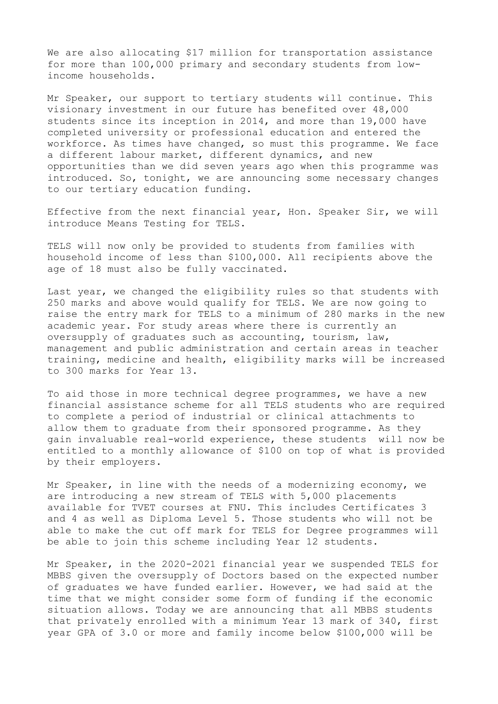We are also allocating \$17 million for transportation assistance for more than 100,000 primary and secondary students from lowincome households.

Mr Speaker, our support to tertiary students will continue. This visionary investment in our future has benefited over 48,000 students since its inception in 2014, and more than 19,000 have completed university or professional education and entered the workforce. As times have changed, so must this programme. We face a different labour market, different dynamics, and new opportunities than we did seven years ago when this programme was introduced. So, tonight, we are announcing some necessary changes to our tertiary education funding.

Effective from the next financial year, Hon. Speaker Sir, we will introduce Means Testing for TELS.

TELS will now only be provided to students from families with household income of less than \$100,000. All recipients above the age of 18 must also be fully vaccinated.

Last year, we changed the eligibility rules so that students with 250 marks and above would qualify for TELS. We are now going to raise the entry mark for TELS to a minimum of 280 marks in the new academic year. For study areas where there is currently an oversupply of graduates such as accounting, tourism, law, management and public administration and certain areas in teacher training, medicine and health, eligibility marks will be increased to 300 marks for Year 13.

To aid those in more technical degree programmes, we have a new financial assistance scheme for all TELS students who are required to complete a period of industrial or clinical attachments to allow them to graduate from their sponsored programme. As they gain invaluable real-world experience, these students will now be entitled to a monthly allowance of \$100 on top of what is provided by their employers.

Mr Speaker, in line with the needs of a modernizing economy, we are introducing a new stream of TELS with 5,000 placements available for TVET courses at FNU. This includes Certificates 3 and 4 as well as Diploma Level 5. Those students who will not be able to make the cut off mark for TELS for Degree programmes will be able to join this scheme including Year 12 students.

Mr Speaker, in the 2020-2021 financial year we suspended TELS for MBBS given the oversupply of Doctors based on the expected number of graduates we have funded earlier. However, we had said at the time that we might consider some form of funding if the economic situation allows. Today we are announcing that all MBBS students that privately enrolled with a minimum Year 13 mark of 340, first year GPA of 3.0 or more and family income below \$100,000 will be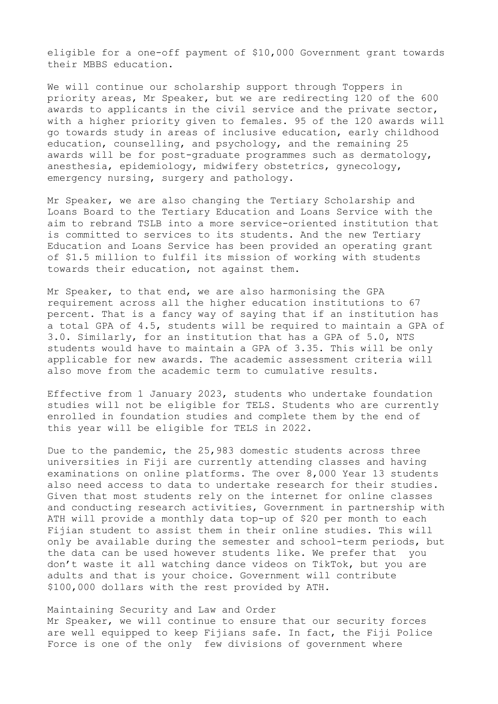eligible for a one-off payment of \$10,000 Government grant towards their MBBS education.

We will continue our scholarship support through Toppers in priority areas, Mr Speaker, but we are redirecting 120 of the 600 awards to applicants in the civil service and the private sector, with a higher priority given to females. 95 of the 120 awards will go towards study in areas of inclusive education, early childhood education, counselling, and psychology, and the remaining 25 awards will be for post-graduate programmes such as dermatology, anesthesia, epidemiology, midwifery obstetrics, gynecology, emergency nursing, surgery and pathology.

Mr Speaker, we are also changing the Tertiary Scholarship and Loans Board to the Tertiary Education and Loans Service with the aim to rebrand TSLB into a more service-oriented institution that is committed to services to its students. And the new Tertiary Education and Loans Service has been provided an operating grant of \$1.5 million to fulfil its mission of working with students towards their education, not against them.

Mr Speaker, to that end, we are also harmonising the GPA requirement across all the higher education institutions to 67 percent. That is a fancy way of saying that if an institution has a total GPA of 4.5, students will be required to maintain a GPA of 3.0. Similarly, for an institution that has a GPA of 5.0, NTS students would have to maintain a GPA of 3.35. This will be only applicable for new awards. The academic assessment criteria will also move from the academic term to cumulative results.

Effective from 1 January 2023, students who undertake foundation studies will not be eligible for TELS. Students who are currently enrolled in foundation studies and complete them by the end of this year will be eligible for TELS in 2022.

Due to the pandemic, the 25,983 domestic students across three universities in Fiji are currently attending classes and having examinations on online platforms. The over 8,000 Year 13 students also need access to data to undertake research for their studies. Given that most students rely on the internet for online classes and conducting research activities, Government in partnership with ATH will provide a monthly data top-up of \$20 per month to each Fijian student to assist them in their online studies. This will only be available during the semester and school-term periods, but the data can be used however students like. We prefer that you don't waste it all watching dance videos on TikTok, but you are adults and that is your choice. Government will contribute \$100,000 dollars with the rest provided by ATH.

### Maintaining Security and Law and Order

Mr Speaker, we will continue to ensure that our security forces are well equipped to keep Fijians safe. In fact, the Fiji Police Force is one of the only few divisions of government where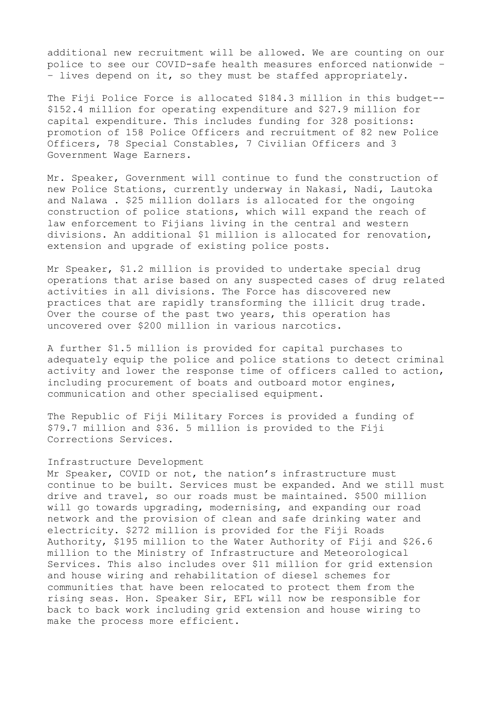additional new recruitment will be allowed. We are counting on our police to see our COVID-safe health measures enforced nationwide – – lives depend on it, so they must be staffed appropriately.

The Fiji Police Force is allocated \$184.3 million in this budget-- \$152.4 million for operating expenditure and \$27.9 million for capital expenditure. This includes funding for 328 positions: promotion of 158 Police Officers and recruitment of 82 new Police Officers, 78 Special Constables, 7 Civilian Officers and 3 Government Wage Earners.

Mr. Speaker, Government will continue to fund the construction of new Police Stations, currently underway in Nakasi, Nadi, Lautoka and Nalawa . \$25 million dollars is allocated for the ongoing construction of police stations, which will expand the reach of law enforcement to Fijians living in the central and western divisions. An additional \$1 million is allocated for renovation, extension and upgrade of existing police posts.

Mr Speaker, \$1.2 million is provided to undertake special drug operations that arise based on any suspected cases of drug related activities in all divisions. The Force has discovered new practices that are rapidly transforming the illicit drug trade. Over the course of the past two years, this operation has uncovered over \$200 million in various narcotics.

A further \$1.5 million is provided for capital purchases to adequately equip the police and police stations to detect criminal activity and lower the response time of officers called to action, including procurement of boats and outboard motor engines, communication and other specialised equipment.

The Republic of Fiji Military Forces is provided a funding of \$79.7 million and \$36. 5 million is provided to the Fiji Corrections Services.

#### Infrastructure Development

Mr Speaker, COVID or not, the nation's infrastructure must continue to be built. Services must be expanded. And we still must drive and travel, so our roads must be maintained. \$500 million will go towards upgrading, modernising, and expanding our road network and the provision of clean and safe drinking water and electricity. \$272 million is provided for the Fiji Roads Authority, \$195 million to the Water Authority of Fiji and \$26.6 million to the Ministry of Infrastructure and Meteorological Services. This also includes over \$11 million for grid extension and house wiring and rehabilitation of diesel schemes for communities that have been relocated to protect them from the rising seas. Hon. Speaker Sir, EFL will now be responsible for back to back work including grid extension and house wiring to make the process more efficient.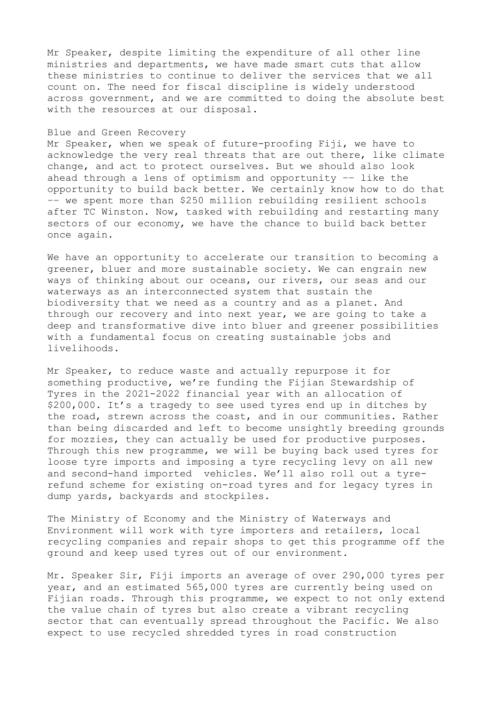Mr Speaker, despite limiting the expenditure of all other line ministries and departments, we have made smart cuts that allow these ministries to continue to deliver the services that we all count on. The need for fiscal discipline is widely understood across government, and we are committed to doing the absolute best with the resources at our disposal.

### Blue and Green Recovery

Mr Speaker, when we speak of future-proofing Fiji, we have to acknowledge the very real threats that are out there, like climate change, and act to protect ourselves. But we should also look ahead through a lens of optimism and opportunity –– like the opportunity to build back better. We certainly know how to do that –– we spent more than \$250 million rebuilding resilient schools after TC Winston. Now, tasked with rebuilding and restarting many sectors of our economy, we have the chance to build back better once again.

We have an opportunity to accelerate our transition to becoming a greener, bluer and more sustainable society. We can engrain new ways of thinking about our oceans, our rivers, our seas and our waterways as an interconnected system that sustain the biodiversity that we need as a country and as a planet. And through our recovery and into next year, we are going to take a deep and transformative dive into bluer and greener possibilities with a fundamental focus on creating sustainable jobs and livelihoods.

Mr Speaker, to reduce waste and actually repurpose it for something productive, we're funding the Fijian Stewardship of Tyres in the 2021-2022 financial year with an allocation of \$200,000. It's a tragedy to see used tyres end up in ditches by the road, strewn across the coast, and in our communities. Rather than being discarded and left to become unsightly breeding grounds for mozzies, they can actually be used for productive purposes. Through this new programme, we will be buying back used tyres for loose tyre imports and imposing a tyre recycling levy on all new and second-hand imported vehicles. We'll also roll out a tyrerefund scheme for existing on-road tyres and for legacy tyres in dump yards, backyards and stockpiles.

The Ministry of Economy and the Ministry of Waterways and Environment will work with tyre importers and retailers, local recycling companies and repair shops to get this programme off the ground and keep used tyres out of our environment.

Mr. Speaker Sir, Fiji imports an average of over 290,000 tyres per year, and an estimated 565,000 tyres are currently being used on Fijian roads. Through this programme, we expect to not only extend the value chain of tyres but also create a vibrant recycling sector that can eventually spread throughout the Pacific. We also expect to use recycled shredded tyres in road construction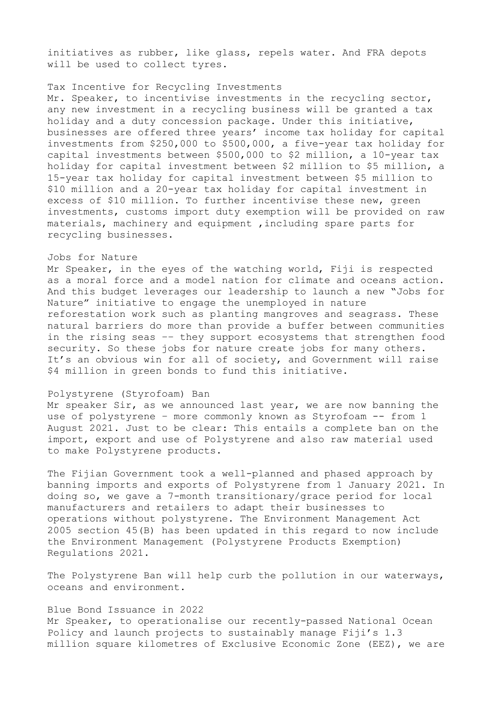initiatives as rubber, like glass, repels water. And FRA depots will be used to collect tyres.

### Tax Incentive for Recycling Investments

Mr. Speaker, to incentivise investments in the recycling sector, any new investment in a recycling business will be granted a tax holiday and a duty concession package. Under this initiative, businesses are offered three years' income tax holiday for capital investments from \$250,000 to \$500,000, a five-year tax holiday for capital investments between \$500,000 to \$2 million, a 10-year tax holiday for capital investment between \$2 million to \$5 million, a 15-year tax holiday for capital investment between \$5 million to \$10 million and a 20-year tax holiday for capital investment in excess of \$10 million. To further incentivise these new, green investments, customs import duty exemption will be provided on raw materials, machinery and equipment ,including spare parts for recycling businesses.

### Jobs for Nature

Mr Speaker, in the eyes of the watching world, Fiji is respected as a moral force and a model nation for climate and oceans action. And this budget leverages our leadership to launch a new "Jobs for Nature" initiative to engage the unemployed in nature reforestation work such as planting mangroves and seagrass. These natural barriers do more than provide a buffer between communities in the rising seas –– they support ecosystems that strengthen food security. So these jobs for nature create jobs for many others. It's an obvious win for all of society, and Government will raise \$4 million in green bonds to fund this initiative.

### Polystyrene (Styrofoam) Ban

Mr speaker Sir, as we announced last year, we are now banning the use of polystyrene - more commonly known as Styrofoam -- from 1 August 2021. Just to be clear: This entails a complete ban on the import, export and use of Polystyrene and also raw material used to make Polystyrene products.

The Fijian Government took a well-planned and phased approach by banning imports and exports of Polystyrene from 1 January 2021. In doing so, we gave a 7-month transitionary/grace period for local manufacturers and retailers to adapt their businesses to operations without polystyrene. The Environment Management Act 2005 section 45(B) has been updated in this regard to now include the Environment Management (Polystyrene Products Exemption) Regulations 2021.

The Polystyrene Ban will help curb the pollution in our waterways, oceans and environment.

## Blue Bond Issuance in 2022

Mr Speaker, to operationalise our recently-passed National Ocean Policy and launch projects to sustainably manage Fiji's 1.3 million square kilometres of Exclusive Economic Zone (EEZ), we are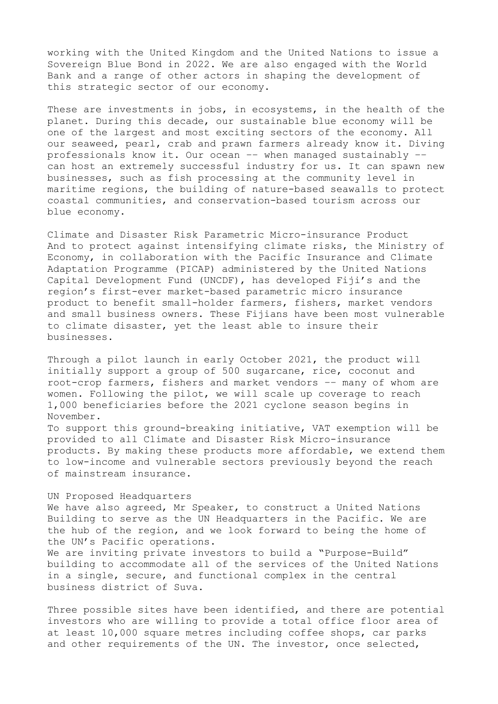working with the United Kingdom and the United Nations to issue a Sovereign Blue Bond in 2022. We are also engaged with the World Bank and a range of other actors in shaping the development of this strategic sector of our economy.

These are investments in jobs, in ecosystems, in the health of the planet. During this decade, our sustainable blue economy will be one of the largest and most exciting sectors of the economy. All our seaweed, pearl, crab and prawn farmers already know it. Diving professionals know it. Our ocean –– when managed sustainably –– can host an extremely successful industry for us. It can spawn new businesses, such as fish processing at the community level in maritime regions, the building of nature-based seawalls to protect coastal communities, and conservation-based tourism across our blue economy.

Climate and Disaster Risk Parametric Micro-insurance Product And to protect against intensifying climate risks, the Ministry of Economy, in collaboration with the Pacific Insurance and Climate Adaptation Programme (PICAP) administered by the United Nations Capital Development Fund (UNCDF), has developed Fiji's and the region's first-ever market-based parametric micro insurance product to benefit small-holder farmers, fishers, market vendors and small business owners. These Fijians have been most vulnerable to climate disaster, yet the least able to insure their businesses.

Through a pilot launch in early October 2021, the product will initially support a group of 500 sugarcane, rice, coconut and root-crop farmers, fishers and market vendors –– many of whom are women. Following the pilot, we will scale up coverage to reach 1,000 beneficiaries before the 2021 cyclone season begins in November.

To support this ground-breaking initiative, VAT exemption will be provided to all Climate and Disaster Risk Micro-insurance products. By making these products more affordable, we extend them to low-income and vulnerable sectors previously beyond the reach of mainstream insurance.

UN Proposed Headquarters We have also agreed, Mr Speaker, to construct a United Nations Building to serve as the UN Headquarters in the Pacific. We are the hub of the region, and we look forward to being the home of the UN's Pacific operations. We are inviting private investors to build a "Purpose-Build" building to accommodate all of the services of the United Nations

in a single, secure, and functional complex in the central business district of Suva.

Three possible sites have been identified, and there are potential investors who are willing to provide a total office floor area of at least 10,000 square metres including coffee shops, car parks and other requirements of the UN. The investor, once selected,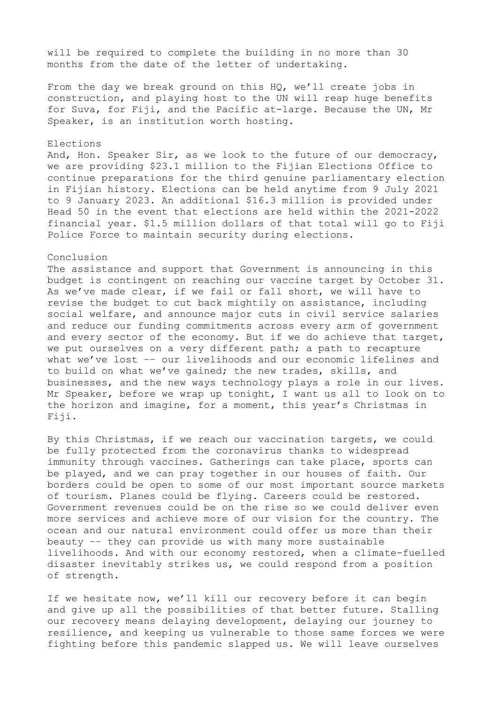will be required to complete the building in no more than 30 months from the date of the letter of undertaking.

From the day we break ground on this HQ, we'll create jobs in construction, and playing host to the UN will reap huge benefits for Suva, for Fiji, and the Pacific at-large. Because the UN, Mr Speaker, is an institution worth hosting.

## Elections

And, Hon. Speaker Sir, as we look to the future of our democracy, we are providing \$23.1 million to the Fijian Elections Office to continue preparations for the third genuine parliamentary election in Fijian history. Elections can be held anytime from 9 July 2021 to 9 January 2023. An additional \$16.3 million is provided under Head 50 in the event that elections are held within the 2021-2022 financial year. \$1.5 million dollars of that total will go to Fiji Police Force to maintain security during elections.

### Conclusion

The assistance and support that Government is announcing in this budget is contingent on reaching our vaccine target by October 31. As we've made clear, if we fail or fall short, we will have to revise the budget to cut back mightily on assistance, including social welfare, and announce major cuts in civil service salaries and reduce our funding commitments across every arm of government and every sector of the economy. But if we do achieve that target, we put ourselves on a very different path; a path to recapture what we've lost –– our livelihoods and our economic lifelines and to build on what we've gained; the new trades, skills, and businesses, and the new ways technology plays a role in our lives. Mr Speaker, before we wrap up tonight, I want us all to look on to the horizon and imagine, for a moment, this year's Christmas in Fiji.

By this Christmas, if we reach our vaccination targets, we could be fully protected from the coronavirus thanks to widespread immunity through vaccines. Gatherings can take place, sports can be played, and we can pray together in our houses of faith. Our borders could be open to some of our most important source markets of tourism. Planes could be flying. Careers could be restored. Government revenues could be on the rise so we could deliver even more services and achieve more of our vision for the country. The ocean and our natural environment could offer us more than their beauty –– they can provide us with many more sustainable livelihoods. And with our economy restored, when a climate-fuelled disaster inevitably strikes us, we could respond from a position of strength.

If we hesitate now, we'll kill our recovery before it can begin and give up all the possibilities of that better future. Stalling our recovery means delaying development, delaying our journey to resilience, and keeping us vulnerable to those same forces we were fighting before this pandemic slapped us. We will leave ourselves